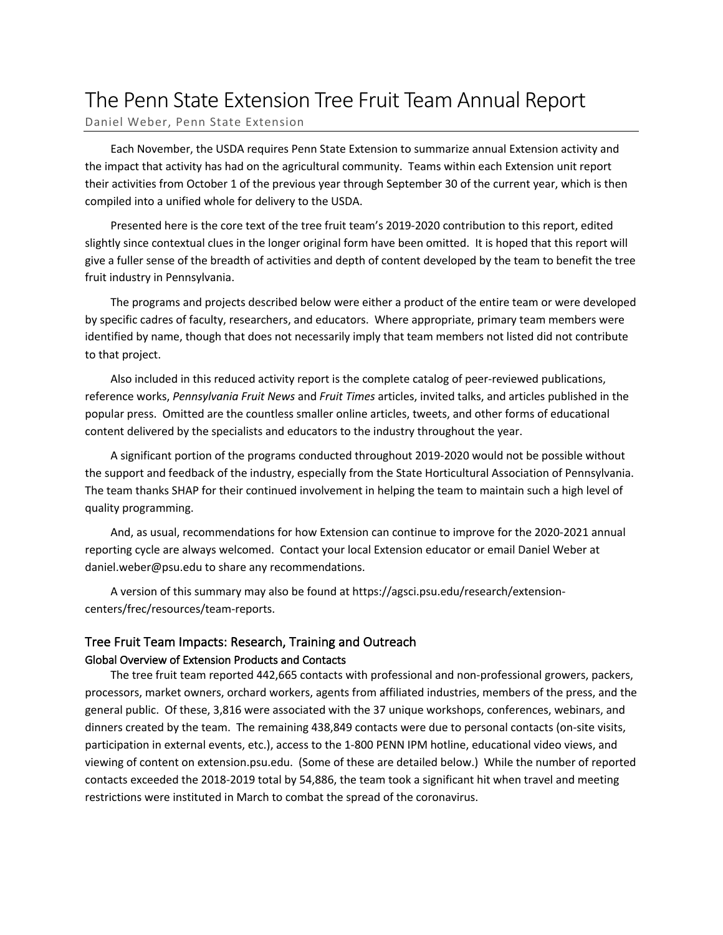# The Penn State Extension Tree Fruit Team Annual Report

Daniel Weber, Penn State Extension

Each November, the USDA requires Penn State Extension to summarize annual Extension activity and the impact that activity has had on the agricultural community. Teams within each Extension unit report their activities from October 1 of the previous year through September 30 of the current year, which is then compiled into a unified whole for delivery to the USDA.

Presented here is the core text of the tree fruit team's 2019-2020 contribution to this report, edited slightly since contextual clues in the longer original form have been omitted. It is hoped that this report will give a fuller sense of the breadth of activities and depth of content developed by the team to benefit the tree fruit industry in Pennsylvania.

The programs and projects described below were either a product of the entire team or were developed by specific cadres of faculty, researchers, and educators. Where appropriate, primary team members were identified by name, though that does not necessarily imply that team members not listed did not contribute to that project.

Also included in this reduced activity report is the complete catalog of peer-reviewed publications, reference works, *Pennsylvania Fruit News* and *Fruit Times* articles, invited talks, and articles published in the popular press. Omitted are the countless smaller online articles, tweets, and other forms of educational content delivered by the specialists and educators to the industry throughout the year.

A significant portion of the programs conducted throughout 2019-2020 would not be possible without the support and feedback of the industry, especially from the State Horticultural Association of Pennsylvania. The team thanks SHAP for their continued involvement in helping the team to maintain such a high level of quality programming.

And, as usual, recommendations for how Extension can continue to improve for the 2020-2021 annual reporting cycle are always welcomed. Contact your local Extension educator or email Daniel Weber at daniel.weber@psu.edu to share any recommendations.

A version of this summary may also be found at https://agsci.psu.edu/research/extensioncenters/frec/resources/team-reports.

# Tree Fruit Team Impacts: Research, Training and Outreach Global Overview of Extension Products and Contacts

The tree fruit team reported 442,665 contacts with professional and non-professional growers, packers, processors, market owners, orchard workers, agents from affiliated industries, members of the press, and the general public. Of these, 3,816 were associated with the 37 unique workshops, conferences, webinars, and dinners created by the team. The remaining 438,849 contacts were due to personal contacts (on-site visits, participation in external events, etc.), access to the 1-800 PENN IPM hotline, educational video views, and viewing of content on extension.psu.edu. (Some of these are detailed below.) While the number of reported contacts exceeded the 2018-2019 total by 54,886, the team took a significant hit when travel and meeting restrictions were instituted in March to combat the spread of the coronavirus.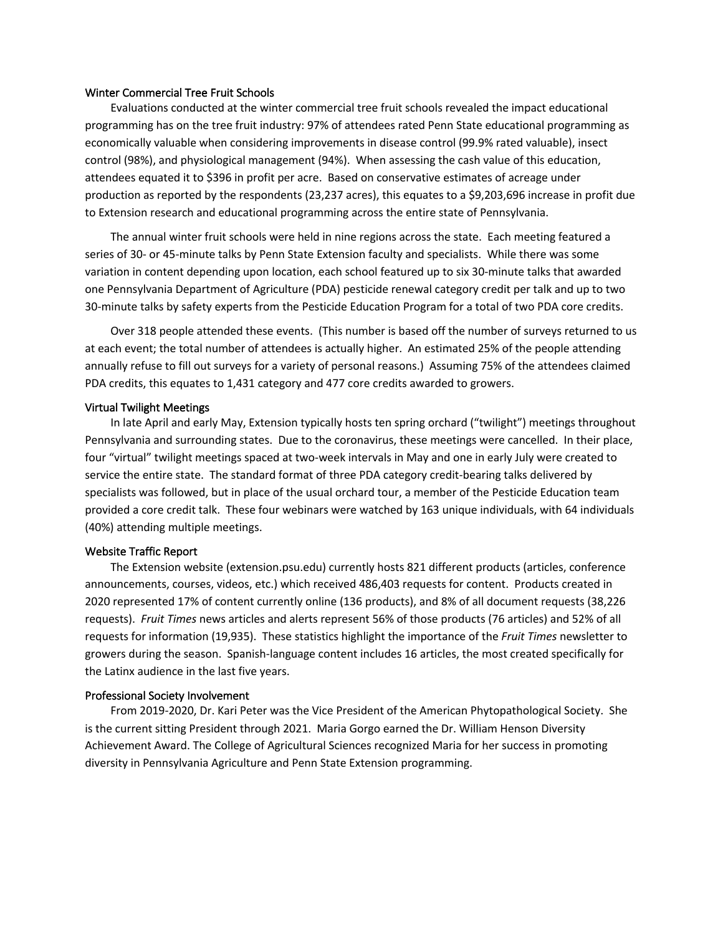# Winter Commercial Tree Fruit Schools

Evaluations conducted at the winter commercial tree fruit schools revealed the impact educational programming has on the tree fruit industry: 97% of attendees rated Penn State educational programming as economically valuable when considering improvements in disease control (99.9% rated valuable), insect control (98%), and physiological management (94%). When assessing the cash value of this education, attendees equated it to \$396 in profit per acre. Based on conservative estimates of acreage under production as reported by the respondents (23,237 acres), this equates to a \$9,203,696 increase in profit due to Extension research and educational programming across the entire state of Pennsylvania.

The annual winter fruit schools were held in nine regions across the state. Each meeting featured a series of 30- or 45-minute talks by Penn State Extension faculty and specialists. While there was some variation in content depending upon location, each school featured up to six 30-minute talks that awarded one Pennsylvania Department of Agriculture (PDA) pesticide renewal category credit per talk and up to two 30-minute talks by safety experts from the Pesticide Education Program for a total of two PDA core credits.

Over 318 people attended these events. (This number is based off the number of surveys returned to us at each event; the total number of attendees is actually higher. An estimated 25% of the people attending annually refuse to fill out surveys for a variety of personal reasons.) Assuming 75% of the attendees claimed PDA credits, this equates to 1,431 category and 477 core credits awarded to growers.

#### Virtual Twilight Meetings

In late April and early May, Extension typically hosts ten spring orchard ("twilight") meetings throughout Pennsylvania and surrounding states. Due to the coronavirus, these meetings were cancelled. In their place, four "virtual" twilight meetings spaced at two-week intervals in May and one in early July were created to service the entire state. The standard format of three PDA category credit-bearing talks delivered by specialists was followed, but in place of the usual orchard tour, a member of the Pesticide Education team provided a core credit talk. These four webinars were watched by 163 unique individuals, with 64 individuals (40%) attending multiple meetings.

#### Website Traffic Report

The Extension website (extension.psu.edu) currently hosts 821 different products (articles, conference announcements, courses, videos, etc.) which received 486,403 requests for content. Products created in 2020 represented 17% of content currently online (136 products), and 8% of all document requests (38,226 requests). *Fruit Times* news articles and alerts represent 56% of those products (76 articles) and 52% of all requests for information (19,935). These statistics highlight the importance of the *Fruit Times* newsletter to growers during the season. Spanish-language content includes 16 articles, the most created specifically for the Latinx audience in the last five years.

#### Professional Society Involvement

From 2019-2020, Dr. Kari Peter was the Vice President of the American Phytopathological Society. She is the current sitting President through 2021. Maria Gorgo earned the Dr. William Henson Diversity Achievement Award. The College of Agricultural Sciences recognized Maria for her success in promoting diversity in Pennsylvania Agriculture and Penn State Extension programming.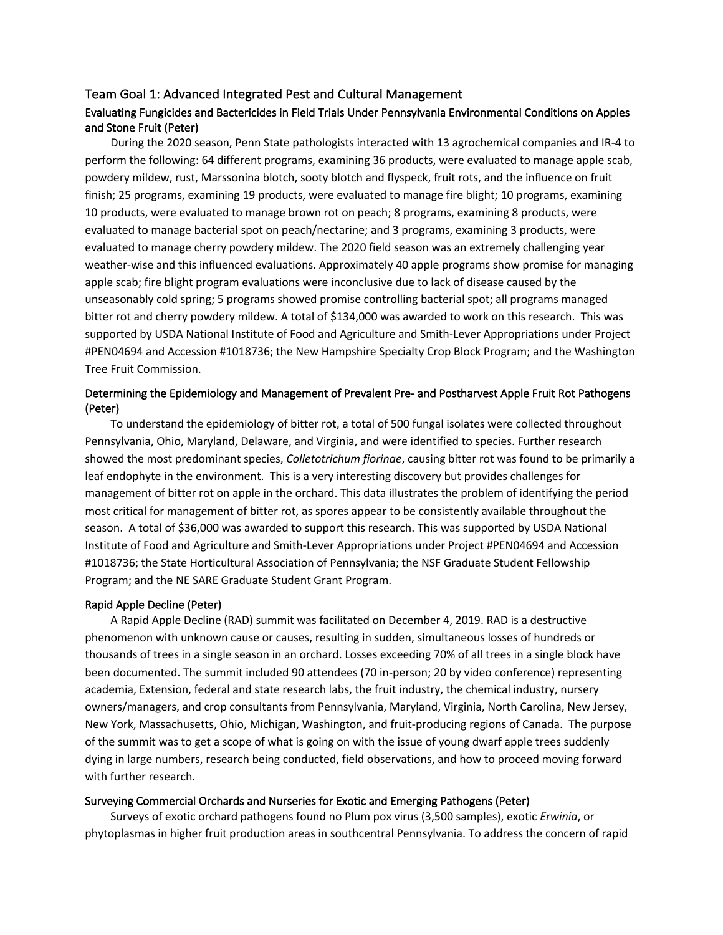# Team Goal 1: Advanced Integrated Pest and Cultural Management

# Evaluating Fungicides and Bactericides in Field Trials Under Pennsylvania Environmental Conditions on Apples and Stone Fruit (Peter)

During the 2020 season, Penn State pathologists interacted with 13 agrochemical companies and IR-4 to perform the following: 64 different programs, examining 36 products, were evaluated to manage apple scab, powdery mildew, rust, Marssonina blotch, sooty blotch and flyspeck, fruit rots, and the influence on fruit finish; 25 programs, examining 19 products, were evaluated to manage fire blight; 10 programs, examining 10 products, were evaluated to manage brown rot on peach; 8 programs, examining 8 products, were evaluated to manage bacterial spot on peach/nectarine; and 3 programs, examining 3 products, were evaluated to manage cherry powdery mildew. The 2020 field season was an extremely challenging year weather-wise and this influenced evaluations. Approximately 40 apple programs show promise for managing apple scab; fire blight program evaluations were inconclusive due to lack of disease caused by the unseasonably cold spring; 5 programs showed promise controlling bacterial spot; all programs managed bitter rot and cherry powdery mildew. A total of \$134,000 was awarded to work on this research. This was supported by USDA National Institute of Food and Agriculture and Smith-Lever Appropriations under Project #PEN04694 and Accession #1018736; the New Hampshire Specialty Crop Block Program; and the Washington Tree Fruit Commission.

# Determining the Epidemiology and Management of Prevalent Pre- and Postharvest Apple Fruit Rot Pathogens (Peter)

To understand the epidemiology of bitter rot, a total of 500 fungal isolates were collected throughout Pennsylvania, Ohio, Maryland, Delaware, and Virginia, and were identified to species. Further research showed the most predominant species, *Colletotrichum fiorinae*, causing bitter rot was found to be primarily a leaf endophyte in the environment. This is a very interesting discovery but provides challenges for management of bitter rot on apple in the orchard. This data illustrates the problem of identifying the period most critical for management of bitter rot, as spores appear to be consistently available throughout the season. A total of \$36,000 was awarded to support this research. This was supported by USDA National Institute of Food and Agriculture and Smith-Lever Appropriations under Project #PEN04694 and Accession #1018736; the State Horticultural Association of Pennsylvania; the NSF Graduate Student Fellowship Program; and the NE SARE Graduate Student Grant Program.

#### Rapid Apple Decline (Peter)

A Rapid Apple Decline (RAD) summit was facilitated on December 4, 2019. RAD is a destructive phenomenon with unknown cause or causes, resulting in sudden, simultaneous losses of hundreds or thousands of trees in a single season in an orchard. Losses exceeding 70% of all trees in a single block have been documented. The summit included 90 attendees (70 in-person; 20 by video conference) representing academia, Extension, federal and state research labs, the fruit industry, the chemical industry, nursery owners/managers, and crop consultants from Pennsylvania, Maryland, Virginia, North Carolina, New Jersey, New York, Massachusetts, Ohio, Michigan, Washington, and fruit-producing regions of Canada. The purpose of the summit was to get a scope of what is going on with the issue of young dwarf apple trees suddenly dying in large numbers, research being conducted, field observations, and how to proceed moving forward with further research.

## Surveying Commercial Orchards and Nurseries for Exotic and Emerging Pathogens (Peter)

Surveys of exotic orchard pathogens found no Plum pox virus (3,500 samples), exotic *Erwinia*, or phytoplasmas in higher fruit production areas in southcentral Pennsylvania. To address the concern of rapid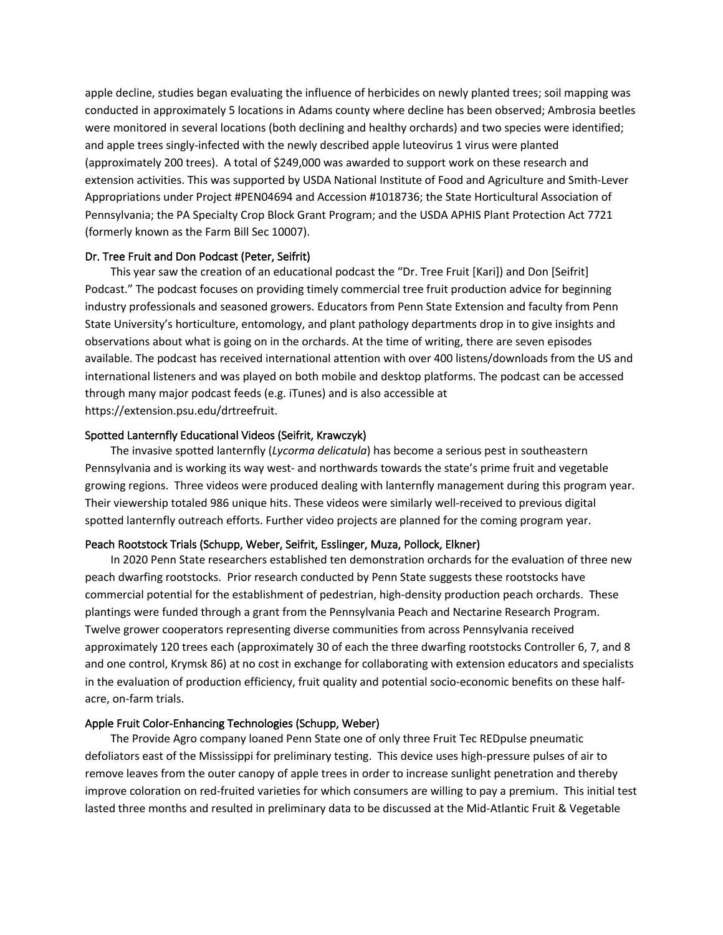apple decline, studies began evaluating the influence of herbicides on newly planted trees; soil mapping was conducted in approximately 5 locations in Adams county where decline has been observed; Ambrosia beetles were monitored in several locations (both declining and healthy orchards) and two species were identified; and apple trees singly-infected with the newly described apple luteovirus 1 virus were planted (approximately 200 trees). A total of \$249,000 was awarded to support work on these research and extension activities. This was supported by USDA National Institute of Food and Agriculture and Smith-Lever Appropriations under Project #PEN04694 and Accession #1018736; the State Horticultural Association of Pennsylvania; the PA Specialty Crop Block Grant Program; and the USDA APHIS Plant Protection Act 7721 (formerly known as the Farm Bill Sec 10007).

# Dr. Tree Fruit and Don Podcast (Peter, Seifrit)

This year saw the creation of an educational podcast the "Dr. Tree Fruit [Kari]) and Don [Seifrit] Podcast." The podcast focuses on providing timely commercial tree fruit production advice for beginning industry professionals and seasoned growers. Educators from Penn State Extension and faculty from Penn State University's horticulture, entomology, and plant pathology departments drop in to give insights and observations about what is going on in the orchards. At the time of writing, there are seven episodes available. The podcast has received international attention with over 400 listens/downloads from the US and international listeners and was played on both mobile and desktop platforms. The podcast can be accessed through many major podcast feeds (e.g. iTunes) and is also accessible at https://extension.psu.edu/drtreefruit.

# Spotted Lanternfly Educational Videos (Seifrit, Krawczyk)

The invasive spotted lanternfly (*Lycorma delicatula*) has become a serious pest in southeastern Pennsylvania and is working its way west- and northwards towards the state's prime fruit and vegetable growing regions. Three videos were produced dealing with lanternfly management during this program year. Their viewership totaled 986 unique hits. These videos were similarly well-received to previous digital spotted lanternfly outreach efforts. Further video projects are planned for the coming program year.

# Peach Rootstock Trials (Schupp, Weber, Seifrit, Esslinger, Muza, Pollock, Elkner)

In 2020 Penn State researchers established ten demonstration orchards for the evaluation of three new peach dwarfing rootstocks. Prior research conducted by Penn State suggests these rootstocks have commercial potential for the establishment of pedestrian, high-density production peach orchards. These plantings were funded through a grant from the Pennsylvania Peach and Nectarine Research Program. Twelve grower cooperators representing diverse communities from across Pennsylvania received approximately 120 trees each (approximately 30 of each the three dwarfing rootstocks Controller 6, 7, and 8 and one control, Krymsk 86) at no cost in exchange for collaborating with extension educators and specialists in the evaluation of production efficiency, fruit quality and potential socio-economic benefits on these halfacre, on-farm trials.

#### Apple Fruit Color-Enhancing Technologies (Schupp, Weber)

The Provide Agro company loaned Penn State one of only three Fruit Tec REDpulse pneumatic defoliators east of the Mississippi for preliminary testing. This device uses high-pressure pulses of air to remove leaves from the outer canopy of apple trees in order to increase sunlight penetration and thereby improve coloration on red-fruited varieties for which consumers are willing to pay a premium. This initial test lasted three months and resulted in preliminary data to be discussed at the Mid-Atlantic Fruit & Vegetable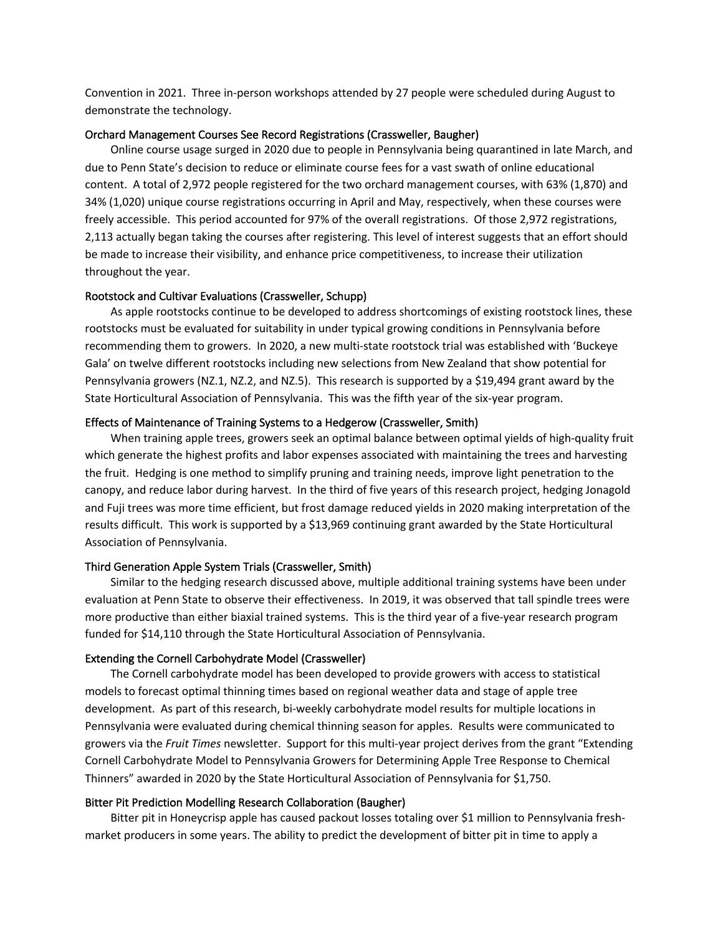Convention in 2021. Three in-person workshops attended by 27 people were scheduled during August to demonstrate the technology.

#### Orchard Management Courses See Record Registrations (Crassweller, Baugher)

Online course usage surged in 2020 due to people in Pennsylvania being quarantined in late March, and due to Penn State's decision to reduce or eliminate course fees for a vast swath of online educational content. A total of 2,972 people registered for the two orchard management courses, with 63% (1,870) and 34% (1,020) unique course registrations occurring in April and May, respectively, when these courses were freely accessible. This period accounted for 97% of the overall registrations. Of those 2,972 registrations, 2,113 actually began taking the courses after registering. This level of interest suggests that an effort should be made to increase their visibility, and enhance price competitiveness, to increase their utilization throughout the year.

#### Rootstock and Cultivar Evaluations (Crassweller, Schupp)

As apple rootstocks continue to be developed to address shortcomings of existing rootstock lines, these rootstocks must be evaluated for suitability in under typical growing conditions in Pennsylvania before recommending them to growers. In 2020, a new multi-state rootstock trial was established with 'Buckeye Gala' on twelve different rootstocks including new selections from New Zealand that show potential for Pennsylvania growers (NZ.1, NZ.2, and NZ.5). This research is supported by a \$19,494 grant award by the State Horticultural Association of Pennsylvania. This was the fifth year of the six-year program.

#### Effects of Maintenance of Training Systems to a Hedgerow (Crassweller, Smith)

When training apple trees, growers seek an optimal balance between optimal yields of high-quality fruit which generate the highest profits and labor expenses associated with maintaining the trees and harvesting the fruit. Hedging is one method to simplify pruning and training needs, improve light penetration to the canopy, and reduce labor during harvest. In the third of five years of this research project, hedging Jonagold and Fuji trees was more time efficient, but frost damage reduced yields in 2020 making interpretation of the results difficult. This work is supported by a \$13,969 continuing grant awarded by the State Horticultural Association of Pennsylvania.

#### Third Generation Apple System Trials (Crassweller, Smith)

Similar to the hedging research discussed above, multiple additional training systems have been under evaluation at Penn State to observe their effectiveness. In 2019, it was observed that tall spindle trees were more productive than either biaxial trained systems. This is the third year of a five-year research program funded for \$14,110 through the State Horticultural Association of Pennsylvania.

# Extending the Cornell Carbohydrate Model (Crassweller)

The Cornell carbohydrate model has been developed to provide growers with access to statistical models to forecast optimal thinning times based on regional weather data and stage of apple tree development. As part of this research, bi-weekly carbohydrate model results for multiple locations in Pennsylvania were evaluated during chemical thinning season for apples. Results were communicated to growers via the *Fruit Times* newsletter. Support for this multi-year project derives from the grant "Extending Cornell Carbohydrate Model to Pennsylvania Growers for Determining Apple Tree Response to Chemical Thinners" awarded in 2020 by the State Horticultural Association of Pennsylvania for \$1,750.

#### Bitter Pit Prediction Modelling Research Collaboration (Baugher)

Bitter pit in Honeycrisp apple has caused packout losses totaling over \$1 million to Pennsylvania freshmarket producers in some years. The ability to predict the development of bitter pit in time to apply a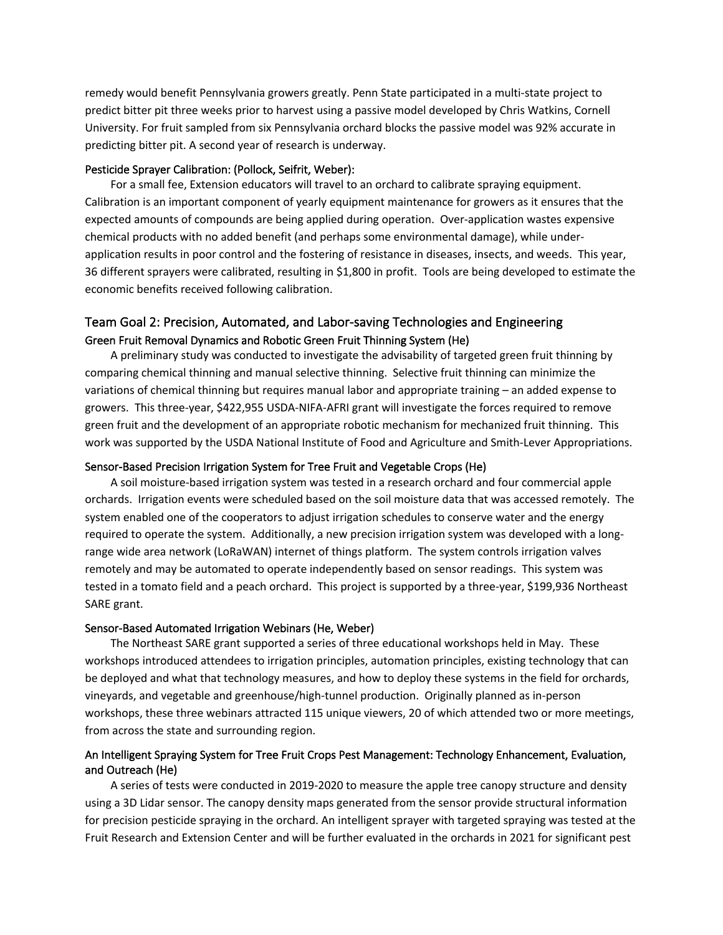remedy would benefit Pennsylvania growers greatly. Penn State participated in a multi-state project to predict bitter pit three weeks prior to harvest using a passive model developed by Chris Watkins, Cornell University. For fruit sampled from six Pennsylvania orchard blocks the passive model was 92% accurate in predicting bitter pit. A second year of research is underway.

# Pesticide Sprayer Calibration: (Pollock, Seifrit, Weber):

For a small fee, Extension educators will travel to an orchard to calibrate spraying equipment. Calibration is an important component of yearly equipment maintenance for growers as it ensures that the expected amounts of compounds are being applied during operation. Over-application wastes expensive chemical products with no added benefit (and perhaps some environmental damage), while underapplication results in poor control and the fostering of resistance in diseases, insects, and weeds. This year, 36 different sprayers were calibrated, resulting in \$1,800 in profit. Tools are being developed to estimate the economic benefits received following calibration.

# Team Goal 2: Precision, Automated, and Labor-saving Technologies and Engineering Green Fruit Removal Dynamics and Robotic Green Fruit Thinning System (He)

A preliminary study was conducted to investigate the advisability of targeted green fruit thinning by comparing chemical thinning and manual selective thinning. Selective fruit thinning can minimize the variations of chemical thinning but requires manual labor and appropriate training – an added expense to growers. This three-year, \$422,955 USDA-NIFA-AFRI grant will investigate the forces required to remove green fruit and the development of an appropriate robotic mechanism for mechanized fruit thinning. This work was supported by the USDA National Institute of Food and Agriculture and Smith-Lever Appropriations.

# Sensor-Based Precision Irrigation System for Tree Fruit and Vegetable Crops (He)

A soil moisture-based irrigation system was tested in a research orchard and four commercial apple orchards. Irrigation events were scheduled based on the soil moisture data that was accessed remotely. The system enabled one of the cooperators to adjust irrigation schedules to conserve water and the energy required to operate the system. Additionally, a new precision irrigation system was developed with a longrange wide area network (LoRaWAN) internet of things platform. The system controls irrigation valves remotely and may be automated to operate independently based on sensor readings. This system was tested in a tomato field and a peach orchard. This project is supported by a three-year, \$199,936 Northeast SARE grant.

#### Sensor-Based Automated Irrigation Webinars (He, Weber)

The Northeast SARE grant supported a series of three educational workshops held in May. These workshops introduced attendees to irrigation principles, automation principles, existing technology that can be deployed and what that technology measures, and how to deploy these systems in the field for orchards, vineyards, and vegetable and greenhouse/high-tunnel production. Originally planned as in-person workshops, these three webinars attracted 115 unique viewers, 20 of which attended two or more meetings, from across the state and surrounding region.

# An Intelligent Spraying System for Tree Fruit Crops Pest Management: Technology Enhancement, Evaluation, and Outreach (He)

A series of tests were conducted in 2019-2020 to measure the apple tree canopy structure and density using a 3D Lidar sensor. The canopy density maps generated from the sensor provide structural information for precision pesticide spraying in the orchard. An intelligent sprayer with targeted spraying was tested at the Fruit Research and Extension Center and will be further evaluated in the orchards in 2021 for significant pest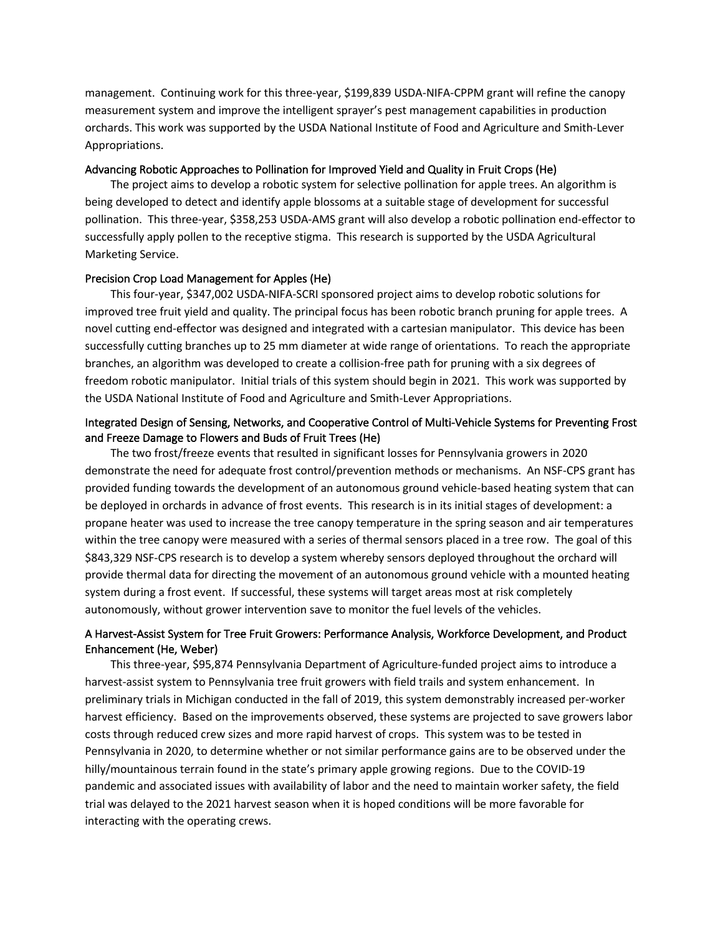management. Continuing work for this three-year, \$199,839 USDA-NIFA-CPPM grant will refine the canopy measurement system and improve the intelligent sprayer's pest management capabilities in production orchards. This work was supported by the USDA National Institute of Food and Agriculture and Smith-Lever Appropriations.

# Advancing Robotic Approaches to Pollination for Improved Yield and Quality in Fruit Crops (He)

The project aims to develop a robotic system for selective pollination for apple trees. An algorithm is being developed to detect and identify apple blossoms at a suitable stage of development for successful pollination. This three-year, \$358,253 USDA-AMS grant will also develop a robotic pollination end-effector to successfully apply pollen to the receptive stigma. This research is supported by the USDA Agricultural Marketing Service.

# Precision Crop Load Management for Apples (He)

This four-year, \$347,002 USDA-NIFA-SCRI sponsored project aims to develop robotic solutions for improved tree fruit yield and quality. The principal focus has been robotic branch pruning for apple trees. A novel cutting end-effector was designed and integrated with a cartesian manipulator. This device has been successfully cutting branches up to 25 mm diameter at wide range of orientations. To reach the appropriate branches, an algorithm was developed to create a collision-free path for pruning with a six degrees of freedom robotic manipulator. Initial trials of this system should begin in 2021. This work was supported by the USDA National Institute of Food and Agriculture and Smith-Lever Appropriations.

# Integrated Design of Sensing, Networks, and Cooperative Control of Multi-Vehicle Systems for Preventing Frost and Freeze Damage to Flowers and Buds of Fruit Trees (He)

The two frost/freeze events that resulted in significant losses for Pennsylvania growers in 2020 demonstrate the need for adequate frost control/prevention methods or mechanisms. An NSF-CPS grant has provided funding towards the development of an autonomous ground vehicle-based heating system that can be deployed in orchards in advance of frost events. This research is in its initial stages of development: a propane heater was used to increase the tree canopy temperature in the spring season and air temperatures within the tree canopy were measured with a series of thermal sensors placed in a tree row. The goal of this \$843,329 NSF-CPS research is to develop a system whereby sensors deployed throughout the orchard will provide thermal data for directing the movement of an autonomous ground vehicle with a mounted heating system during a frost event. If successful, these systems will target areas most at risk completely autonomously, without grower intervention save to monitor the fuel levels of the vehicles.

# A Harvest-Assist System for Tree Fruit Growers: Performance Analysis, Workforce Development, and Product Enhancement (He, Weber)

This three-year, \$95,874 Pennsylvania Department of Agriculture-funded project aims to introduce a harvest-assist system to Pennsylvania tree fruit growers with field trails and system enhancement. In preliminary trials in Michigan conducted in the fall of 2019, this system demonstrably increased per-worker harvest efficiency. Based on the improvements observed, these systems are projected to save growers labor costs through reduced crew sizes and more rapid harvest of crops. This system was to be tested in Pennsylvania in 2020, to determine whether or not similar performance gains are to be observed under the hilly/mountainous terrain found in the state's primary apple growing regions. Due to the COVID-19 pandemic and associated issues with availability of labor and the need to maintain worker safety, the field trial was delayed to the 2021 harvest season when it is hoped conditions will be more favorable for interacting with the operating crews.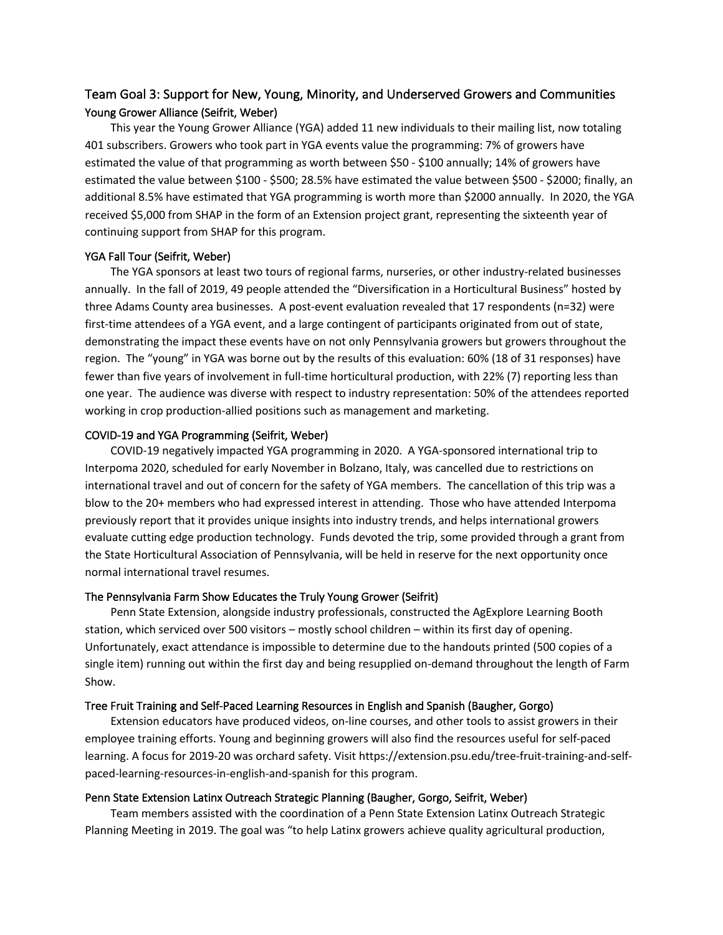# Team Goal 3: Support for New, Young, Minority, and Underserved Growers and Communities Young Grower Alliance (Seifrit, Weber)

This year the Young Grower Alliance (YGA) added 11 new individuals to their mailing list, now totaling 401 subscribers. Growers who took part in YGA events value the programming: 7% of growers have estimated the value of that programming as worth between \$50 - \$100 annually; 14% of growers have estimated the value between \$100 - \$500; 28.5% have estimated the value between \$500 - \$2000; finally, an additional 8.5% have estimated that YGA programming is worth more than \$2000 annually. In 2020, the YGA received \$5,000 from SHAP in the form of an Extension project grant, representing the sixteenth year of continuing support from SHAP for this program.

#### YGA Fall Tour (Seifrit, Weber)

The YGA sponsors at least two tours of regional farms, nurseries, or other industry-related businesses annually. In the fall of 2019, 49 people attended the "Diversification in a Horticultural Business" hosted by three Adams County area businesses. A post-event evaluation revealed that 17 respondents (n=32) were first-time attendees of a YGA event, and a large contingent of participants originated from out of state, demonstrating the impact these events have on not only Pennsylvania growers but growers throughout the region. The "young" in YGA was borne out by the results of this evaluation: 60% (18 of 31 responses) have fewer than five years of involvement in full-time horticultural production, with 22% (7) reporting less than one year. The audience was diverse with respect to industry representation: 50% of the attendees reported working in crop production-allied positions such as management and marketing.

# COVID-19 and YGA Programming (Seifrit, Weber)

COVID-19 negatively impacted YGA programming in 2020. A YGA-sponsored international trip to Interpoma 2020, scheduled for early November in Bolzano, Italy, was cancelled due to restrictions on international travel and out of concern for the safety of YGA members. The cancellation of this trip was a blow to the 20+ members who had expressed interest in attending. Those who have attended Interpoma previously report that it provides unique insights into industry trends, and helps international growers evaluate cutting edge production technology. Funds devoted the trip, some provided through a grant from the State Horticultural Association of Pennsylvania, will be held in reserve for the next opportunity once normal international travel resumes.

# The Pennsylvania Farm Show Educates the Truly Young Grower (Seifrit)

Penn State Extension, alongside industry professionals, constructed the AgExplore Learning Booth station, which serviced over 500 visitors – mostly school children – within its first day of opening. Unfortunately, exact attendance is impossible to determine due to the handouts printed (500 copies of a single item) running out within the first day and being resupplied on-demand throughout the length of Farm Show.

#### Tree Fruit Training and Self-Paced Learning Resources in English and Spanish (Baugher, Gorgo)

Extension educators have produced videos, on-line courses, and other tools to assist growers in their employee training efforts. Young and beginning growers will also find the resources useful for self-paced learning. A focus for 2019-20 was orchard safety. Visit https://extension.psu.edu/tree-fruit-training-and-selfpaced-learning-resources-in-english-and-spanish for this program.

# Penn State Extension Latinx Outreach Strategic Planning (Baugher, Gorgo, Seifrit, Weber)

Team members assisted with the coordination of a Penn State Extension Latinx Outreach Strategic Planning Meeting in 2019. The goal was "to help Latinx growers achieve quality agricultural production,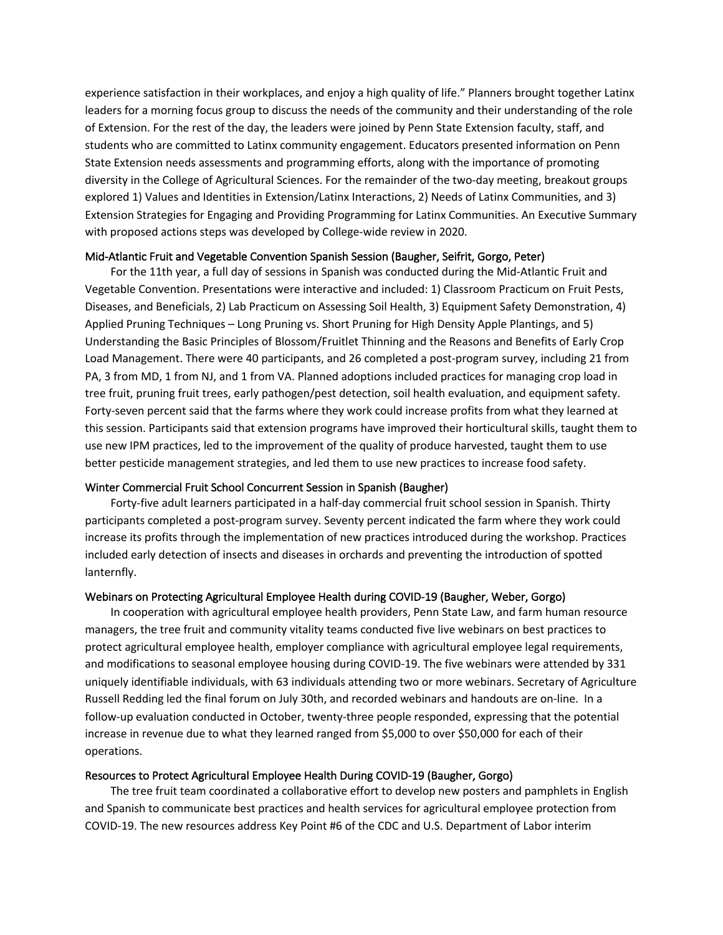experience satisfaction in their workplaces, and enjoy a high quality of life." Planners brought together Latinx leaders for a morning focus group to discuss the needs of the community and their understanding of the role of Extension. For the rest of the day, the leaders were joined by Penn State Extension faculty, staff, and students who are committed to Latinx community engagement. Educators presented information on Penn State Extension needs assessments and programming efforts, along with the importance of promoting diversity in the College of Agricultural Sciences. For the remainder of the two-day meeting, breakout groups explored 1) Values and Identities in Extension/Latinx Interactions, 2) Needs of Latinx Communities, and 3) Extension Strategies for Engaging and Providing Programming for Latinx Communities. An Executive Summary with proposed actions steps was developed by College-wide review in 2020.

# Mid-Atlantic Fruit and Vegetable Convention Spanish Session (Baugher, Seifrit, Gorgo, Peter)

For the 11th year, a full day of sessions in Spanish was conducted during the Mid-Atlantic Fruit and Vegetable Convention. Presentations were interactive and included: 1) Classroom Practicum on Fruit Pests, Diseases, and Beneficials, 2) Lab Practicum on Assessing Soil Health, 3) Equipment Safety Demonstration, 4) Applied Pruning Techniques – Long Pruning vs. Short Pruning for High Density Apple Plantings, and 5) Understanding the Basic Principles of Blossom/Fruitlet Thinning and the Reasons and Benefits of Early Crop Load Management. There were 40 participants, and 26 completed a post-program survey, including 21 from PA, 3 from MD, 1 from NJ, and 1 from VA. Planned adoptions included practices for managing crop load in tree fruit, pruning fruit trees, early pathogen/pest detection, soil health evaluation, and equipment safety. Forty-seven percent said that the farms where they work could increase profits from what they learned at this session. Participants said that extension programs have improved their horticultural skills, taught them to use new IPM practices, led to the improvement of the quality of produce harvested, taught them to use better pesticide management strategies, and led them to use new practices to increase food safety.

# Winter Commercial Fruit School Concurrent Session in Spanish (Baugher)

Forty-five adult learners participated in a half-day commercial fruit school session in Spanish. Thirty participants completed a post-program survey. Seventy percent indicated the farm where they work could increase its profits through the implementation of new practices introduced during the workshop. Practices included early detection of insects and diseases in orchards and preventing the introduction of spotted lanternfly.

# Webinars on Protecting Agricultural Employee Health during COVID-19 (Baugher, Weber, Gorgo)

In cooperation with agricultural employee health providers, Penn State Law, and farm human resource managers, the tree fruit and community vitality teams conducted five live webinars on best practices to protect agricultural employee health, employer compliance with agricultural employee legal requirements, and modifications to seasonal employee housing during COVID-19. The five webinars were attended by 331 uniquely identifiable individuals, with 63 individuals attending two or more webinars. Secretary of Agriculture Russell Redding led the final forum on July 30th, and recorded webinars and handouts are on-line. In a follow-up evaluation conducted in October, twenty-three people responded, expressing that the potential increase in revenue due to what they learned ranged from \$5,000 to over \$50,000 for each of their operations.

# Resources to Protect Agricultural Employee Health During COVID-19 (Baugher, Gorgo)

The tree fruit team coordinated a collaborative effort to develop new posters and pamphlets in English and Spanish to communicate best practices and health services for agricultural employee protection from COVID-19. The new resources address Key Point #6 of the CDC and U.S. Department of Labor interim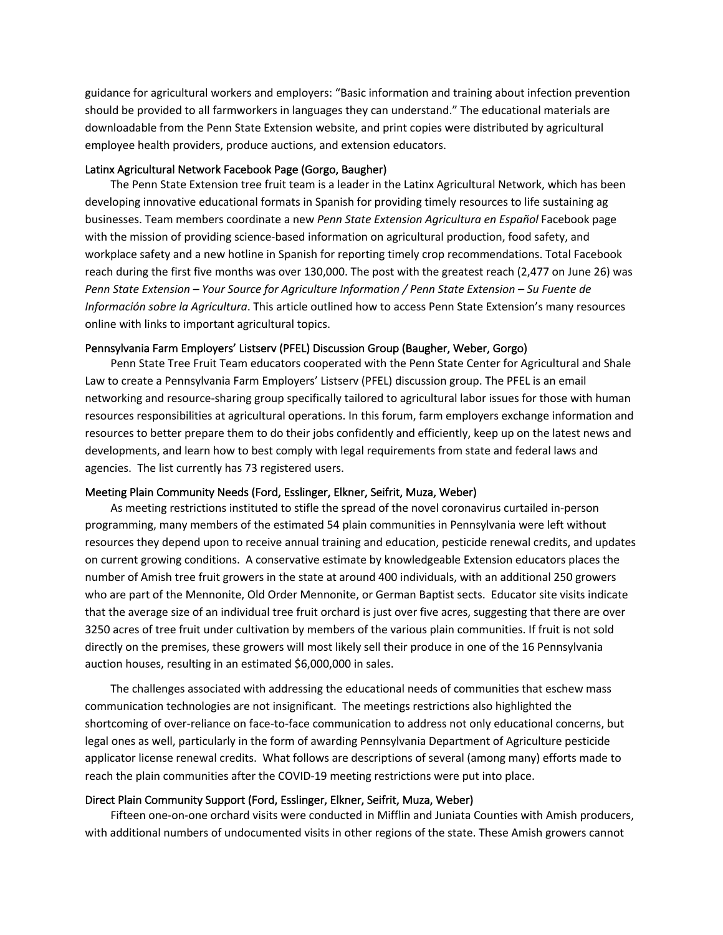guidance for agricultural workers and employers: "Basic information and training about infection prevention should be provided to all farmworkers in languages they can understand." The educational materials are downloadable from the Penn State Extension website, and print copies were distributed by agricultural employee health providers, produce auctions, and extension educators.

# Latinx Agricultural Network Facebook Page (Gorgo, Baugher)

The Penn State Extension tree fruit team is a leader in the Latinx Agricultural Network, which has been developing innovative educational formats in Spanish for providing timely resources to life sustaining ag businesses. Team members coordinate a new *Penn State Extension Agricultura en Español* Facebook page with the mission of providing science-based information on agricultural production, food safety, and workplace safety and a new hotline in Spanish for reporting timely crop recommendations. Total Facebook reach during the first five months was over 130,000. The post with the greatest reach (2,477 on June 26) was *Penn State Extension – Your Source for Agriculture Information / Penn State Extension – Su Fuente de Información sobre la Agricultura*. This article outlined how to access Penn State Extension's many resources online with links to important agricultural topics.

# Pennsylvania Farm Employers' Listserv (PFEL) Discussion Group (Baugher, Weber, Gorgo)

Penn State Tree Fruit Team educators cooperated with the Penn State Center for Agricultural and Shale Law to create a Pennsylvania Farm Employers' Listserv (PFEL) discussion group. The PFEL is an email networking and resource-sharing group specifically tailored to agricultural labor issues for those with human resources responsibilities at agricultural operations. In this forum, farm employers exchange information and resources to better prepare them to do their jobs confidently and efficiently, keep up on the latest news and developments, and learn how to best comply with legal requirements from state and federal laws and agencies. The list currently has 73 registered users.

#### Meeting Plain Community Needs (Ford, Esslinger, Elkner, Seifrit, Muza, Weber)

As meeting restrictions instituted to stifle the spread of the novel coronavirus curtailed in-person programming, many members of the estimated 54 plain communities in Pennsylvania were left without resources they depend upon to receive annual training and education, pesticide renewal credits, and updates on current growing conditions. A conservative estimate by knowledgeable Extension educators places the number of Amish tree fruit growers in the state at around 400 individuals, with an additional 250 growers who are part of the Mennonite, Old Order Mennonite, or German Baptist sects. Educator site visits indicate that the average size of an individual tree fruit orchard is just over five acres, suggesting that there are over 3250 acres of tree fruit under cultivation by members of the various plain communities. If fruit is not sold directly on the premises, these growers will most likely sell their produce in one of the 16 Pennsylvania auction houses, resulting in an estimated \$6,000,000 in sales.

The challenges associated with addressing the educational needs of communities that eschew mass communication technologies are not insignificant. The meetings restrictions also highlighted the shortcoming of over-reliance on face-to-face communication to address not only educational concerns, but legal ones as well, particularly in the form of awarding Pennsylvania Department of Agriculture pesticide applicator license renewal credits. What follows are descriptions of several (among many) efforts made to reach the plain communities after the COVID-19 meeting restrictions were put into place.

#### Direct Plain Community Support (Ford, Esslinger, Elkner, Seifrit, Muza, Weber)

Fifteen one-on-one orchard visits were conducted in Mifflin and Juniata Counties with Amish producers, with additional numbers of undocumented visits in other regions of the state. These Amish growers cannot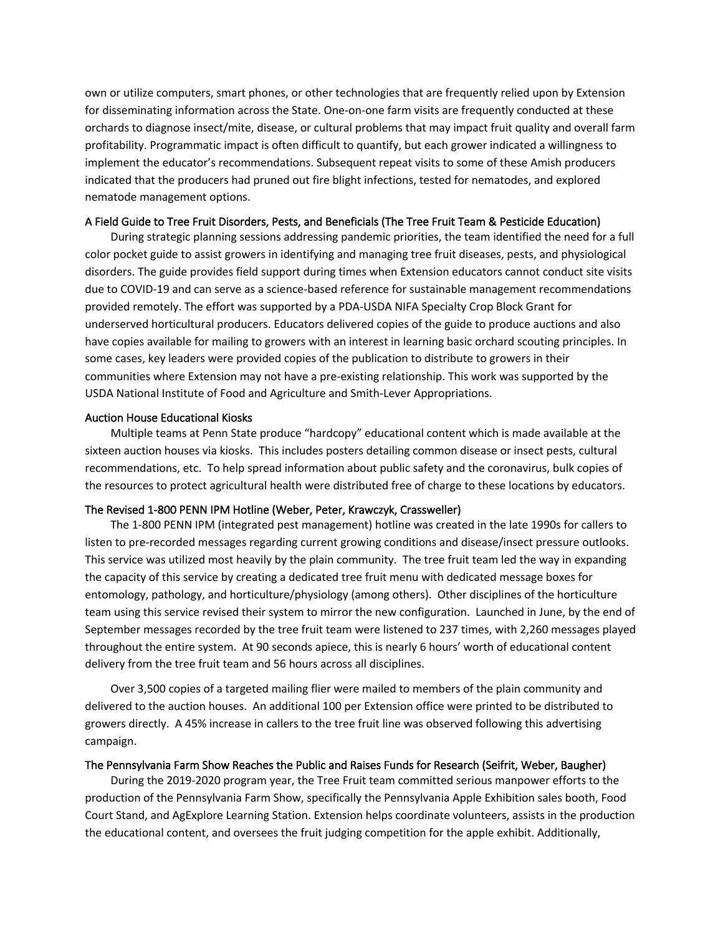own or utilize computers, smart phones, or other technologies that are frequently relied upon by Extension for disseminating information across the State. One-on-one farm visits are frequently conducted at these orchards to diagnose insect/mite, disease, or cultural problems that may impact fruit quality and overall farm profitability. Programmatic impact is often difficult to quantify, but each grower indicated a willingness to implement the educator's recommendations. Subsequent repeat visits to some of these Amish producers indicated that the producers had pruned out fire blight infections, tested for nematodes, and explored nematode management options.

# A Field Guide to Tree Fruit Disorders, Pests, and Beneficials (The Tree Fruit Team & Pesticide Education)

During strategic planning sessions addressing pandemic priorities, the team identified the need for a full color pocket guide to assist growers in identifying and managing tree fruit diseases, pests, and physiological disorders. The guide provides field support during times when Extension educators cannot conduct site visits due to COVID-19 and can serve as a science-based reference for sustainable management recommendations provided remotely. The effort was supported by a PDA-USDA NIFA Specialty Crop Block Grant for underserved horticultural producers. Educators delivered copies of the guide to produce auctions and also have copies available for mailing to growers with an interest in learning basic orchard scouting principles. In some cases, key leaders were provided copies of the publication to distribute to growers in their communities where Extension may not have a pre-existing relationship. This work was supported by the USDA National Institute of Food and Agriculture and Smith-Lever Appropriations.

#### Auction House Educational Kiosks

Multiple teams at Penn State produce "hardcopy" educational content which is made available at the sixteen auction houses via kiosks. This includes posters detailing common disease or insect pests, cultural recommendations, etc. To help spread information about public safety and the coronavirus, bulk copies of the resources to protect agricultural health were distributed free of charge to these locations by educators.

# The Revised 1-800 PENN IPM Hotline (Weber, Peter, Krawczyk, Crassweller)

The 1-800 PENN IPM (integrated pest management) hotline was created in the late 1990s for callers to listen to pre-recorded messages regarding current growing conditions and disease/insect pressure outlooks. This service was utilized most heavily by the plain community. The tree fruit team led the way in expanding the capacity of this service by creating a dedicated tree fruit menu with dedicated message boxes for entomology, pathology, and horticulture/physiology (among others). Other disciplines of the horticulture team using this service revised their system to mirror the new configuration. Launched in June, by the end of September messages recorded by the tree fruit team were listened to 237 times, with 2,260 messages played throughout the entire system. At 90 seconds apiece, this is nearly 6 hours' worth of educational content delivery from the tree fruit team and 56 hours across all disciplines.

Over 3,500 copies of a targeted mailing flier were mailed to members of the plain community and delivered to the auction houses. An additional 100 per Extension office were printed to be distributed to growers directly. A 45% increase in callers to the tree fruit line was observed following this advertising campaign.

#### The Pennsylvania Farm Show Reaches the Public and Raises Funds for Research (Seifrit, Weber, Baugher)

During the 2019-2020 program year, the Tree Fruit team committed serious manpower efforts to the production of the Pennsylvania Farm Show, specifically the Pennsylvania Apple Exhibition sales booth, Food Court Stand, and AgExplore Learning Station. Extension helps coordinate volunteers, assists in the production the educational content, and oversees the fruit judging competition for the apple exhibit. Additionally,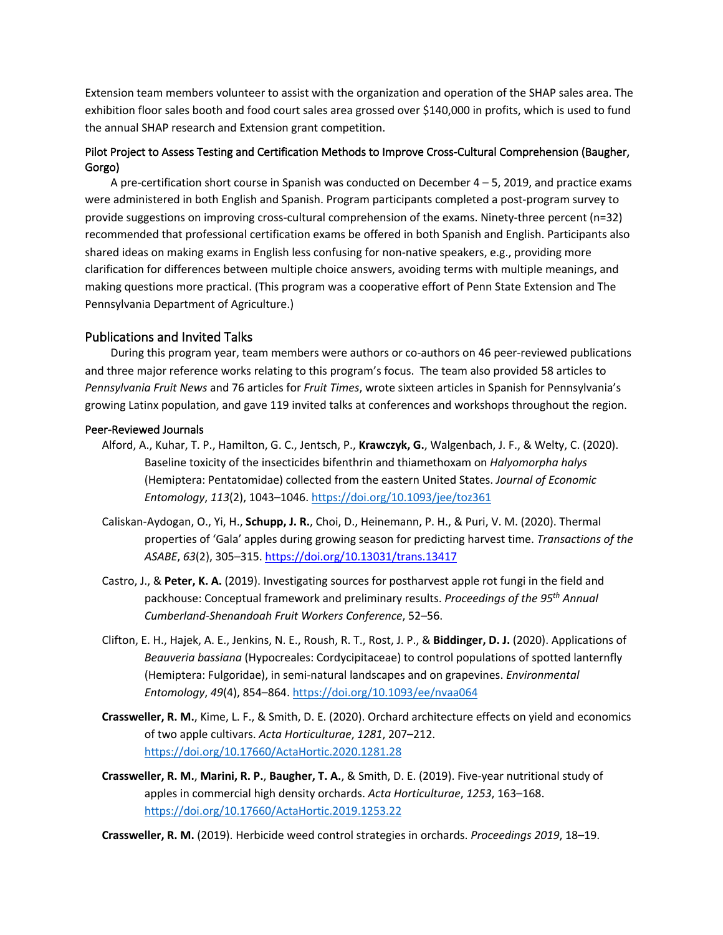Extension team members volunteer to assist with the organization and operation of the SHAP sales area. The exhibition floor sales booth and food court sales area grossed over \$140,000 in profits, which is used to fund the annual SHAP research and Extension grant competition.

# Pilot Project to Assess Testing and Certification Methods to Improve Cross-Cultural Comprehension (Baugher, Gorgo)

A pre-certification short course in Spanish was conducted on December 4 – 5, 2019, and practice exams were administered in both English and Spanish. Program participants completed a post-program survey to provide suggestions on improving cross-cultural comprehension of the exams. Ninety-three percent (n=32) recommended that professional certification exams be offered in both Spanish and English. Participants also shared ideas on making exams in English less confusing for non-native speakers, e.g., providing more clarification for differences between multiple choice answers, avoiding terms with multiple meanings, and making questions more practical. (This program was a cooperative effort of Penn State Extension and The Pennsylvania Department of Agriculture.)

# Publications and Invited Talks

During this program year, team members were authors or co-authors on 46 peer-reviewed publications and three major reference works relating to this program's focus. The team also provided 58 articles to *Pennsylvania Fruit News* and 76 articles for *Fruit Times*, wrote sixteen articles in Spanish for Pennsylvania's growing Latinx population, and gave 119 invited talks at conferences and workshops throughout the region.

#### Peer-Reviewed Journals

- Alford, A., Kuhar, T. P., Hamilton, G. C., Jentsch, P., **Krawczyk, G.**, Walgenbach, J. F., & Welty, C. (2020). Baseline toxicity of the insecticides bifenthrin and thiamethoxam on *Halyomorpha halys* (Hemiptera: Pentatomidae) collected from the eastern United States. *Journal of Economic Entomology*, *113*(2), 1043–1046. https://doi.org/10.1093/jee/toz361
- Caliskan-Aydogan, O., Yi, H., **Schupp, J. R.**, Choi, D., Heinemann, P. H., & Puri, V. M. (2020). Thermal properties of 'Gala' apples during growing season for predicting harvest time. *Transactions of the ASABE*, *63*(2), 305–315. https://doi.org/10.13031/trans.13417
- Castro, J., & **Peter, K. A.** (2019). Investigating sources for postharvest apple rot fungi in the field and packhouse: Conceptual framework and preliminary results. *Proceedings of the 95th Annual Cumberland-Shenandoah Fruit Workers Conference*, 52–56.
- Clifton, E. H., Hajek, A. E., Jenkins, N. E., Roush, R. T., Rost, J. P., & **Biddinger, D. J.** (2020). Applications of *Beauveria bassiana* (Hypocreales: Cordycipitaceae) to control populations of spotted lanternfly (Hemiptera: Fulgoridae), in semi-natural landscapes and on grapevines. *Environmental Entomology*, *49*(4), 854–864. https://doi.org/10.1093/ee/nvaa064
- **Crassweller, R. M.**, Kime, L. F., & Smith, D. E. (2020). Orchard architecture effects on yield and economics of two apple cultivars. *Acta Horticulturae*, *1281*, 207–212. https://doi.org/10.17660/ActaHortic.2020.1281.28
- **Crassweller, R. M.**, **Marini, R. P.**, **Baugher, T. A.**, & Smith, D. E. (2019). Five-year nutritional study of apples in commercial high density orchards. *Acta Horticulturae*, *1253*, 163–168. https://doi.org/10.17660/ActaHortic.2019.1253.22

**Crassweller, R. M.** (2019). Herbicide weed control strategies in orchards. *Proceedings 2019*, 18–19.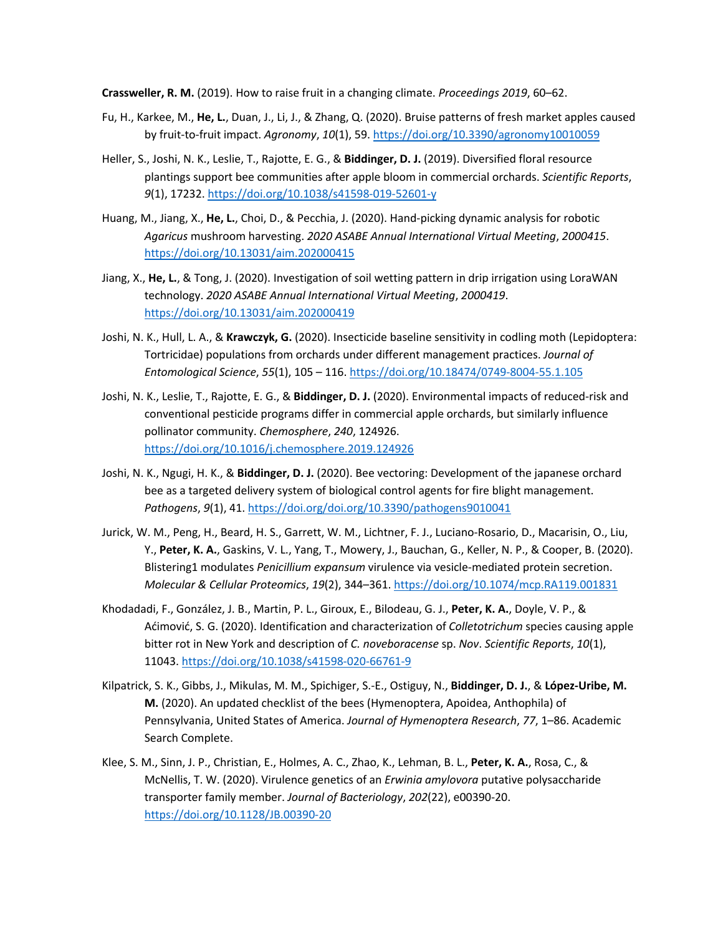**Crassweller, R. M.** (2019). How to raise fruit in a changing climate. *Proceedings 2019*, 60–62.

- Fu, H., Karkee, M., **He, L.**, Duan, J., Li, J., & Zhang, Q. (2020). Bruise patterns of fresh market apples caused by fruit-to-fruit impact. *Agronomy*, *10*(1), 59. https://doi.org/10.3390/agronomy10010059
- Heller, S., Joshi, N. K., Leslie, T., Rajotte, E. G., & **Biddinger, D. J.** (2019). Diversified floral resource plantings support bee communities after apple bloom in commercial orchards. *Scientific Reports*, *9*(1), 17232. https://doi.org/10.1038/s41598-019-52601-y
- Huang, M., Jiang, X., **He, L.**, Choi, D., & Pecchia, J. (2020). Hand-picking dynamic analysis for robotic *Agaricus* mushroom harvesting. *2020 ASABE Annual International Virtual Meeting*, *2000415*. https://doi.org/10.13031/aim.202000415
- Jiang, X., **He, L.**, & Tong, J. (2020). Investigation of soil wetting pattern in drip irrigation using LoraWAN technology. *2020 ASABE Annual International Virtual Meeting*, *2000419*. https://doi.org/10.13031/aim.202000419
- Joshi, N. K., Hull, L. A., & **Krawczyk, G.** (2020). Insecticide baseline sensitivity in codling moth (Lepidoptera: Tortricidae) populations from orchards under different management practices. *Journal of Entomological Science*, *55*(1), 105 – 116. https://doi.org/10.18474/0749-8004-55.1.105
- Joshi, N. K., Leslie, T., Rajotte, E. G., & **Biddinger, D. J.** (2020). Environmental impacts of reduced-risk and conventional pesticide programs differ in commercial apple orchards, but similarly influence pollinator community. *Chemosphere*, *240*, 124926. https://doi.org/10.1016/j.chemosphere.2019.124926
- Joshi, N. K., Ngugi, H. K., & **Biddinger, D. J.** (2020). Bee vectoring: Development of the japanese orchard bee as a targeted delivery system of biological control agents for fire blight management. *Pathogens*, *9*(1), 41. https://doi.org/doi.org/10.3390/pathogens9010041
- Jurick, W. M., Peng, H., Beard, H. S., Garrett, W. M., Lichtner, F. J., Luciano-Rosario, D., Macarisin, O., Liu, Y., **Peter, K. A.**, Gaskins, V. L., Yang, T., Mowery, J., Bauchan, G., Keller, N. P., & Cooper, B. (2020). Blistering1 modulates *Penicillium expansum* virulence via vesicle-mediated protein secretion. *Molecular & Cellular Proteomics*, *19*(2), 344–361. https://doi.org/10.1074/mcp.RA119.001831
- Khodadadi, F., González, J. B., Martin, P. L., Giroux, E., Bilodeau, G. J., **Peter, K. A.**, Doyle, V. P., & Aćimović, S. G. (2020). Identification and characterization of *Colletotrichum* species causing apple bitter rot in New York and description of *C. noveboracense* sp. *Nov*. *Scientific Reports*, *10*(1), 11043. https://doi.org/10.1038/s41598-020-66761-9
- Kilpatrick, S. K., Gibbs, J., Mikulas, M. M., Spichiger, S.-E., Ostiguy, N., **Biddinger, D. J.**, & **López-Uribe, M. M.** (2020). An updated checklist of the bees (Hymenoptera, Apoidea, Anthophila) of Pennsylvania, United States of America. *Journal of Hymenoptera Research*, *77*, 1–86. Academic Search Complete.
- Klee, S. M., Sinn, J. P., Christian, E., Holmes, A. C., Zhao, K., Lehman, B. L., **Peter, K. A.**, Rosa, C., & McNellis, T. W. (2020). Virulence genetics of an *Erwinia amylovora* putative polysaccharide transporter family member. *Journal of Bacteriology*, *202*(22), e00390-20. https://doi.org/10.1128/JB.00390-20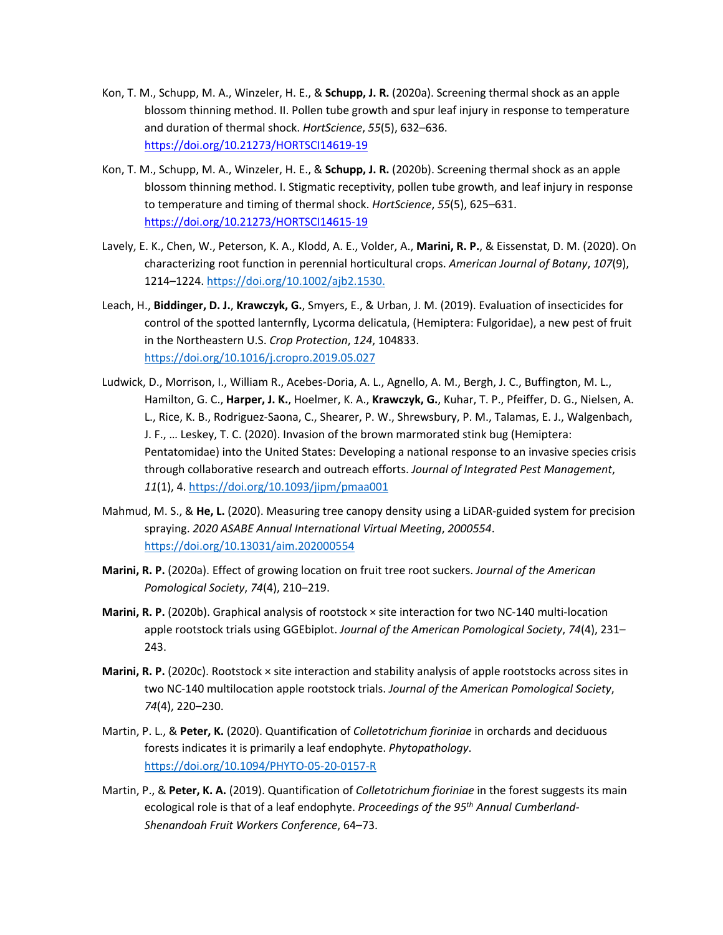- Kon, T. M., Schupp, M. A., Winzeler, H. E., & **Schupp, J. R.** (2020a). Screening thermal shock as an apple blossom thinning method. II. Pollen tube growth and spur leaf injury in response to temperature and duration of thermal shock. *HortScience*, *55*(5), 632–636. https://doi.org/10.21273/HORTSCI14619-19
- Kon, T. M., Schupp, M. A., Winzeler, H. E., & **Schupp, J. R.** (2020b). Screening thermal shock as an apple blossom thinning method. I. Stigmatic receptivity, pollen tube growth, and leaf injury in response to temperature and timing of thermal shock. *HortScience*, *55*(5), 625–631. https://doi.org/10.21273/HORTSCI14615-19
- Lavely, E. K., Chen, W., Peterson, K. A., Klodd, A. E., Volder, A., **Marini, R. P.**, & Eissenstat, D. M. (2020). On characterizing root function in perennial horticultural crops. *American Journal of Botany*, *107*(9), 1214–1224. https://doi.org/10.1002/ajb2.1530.
- Leach, H., **Biddinger, D. J.**, **Krawczyk, G.**, Smyers, E., & Urban, J. M. (2019). Evaluation of insecticides for control of the spotted lanternfly, Lycorma delicatula, (Hemiptera: Fulgoridae), a new pest of fruit in the Northeastern U.S. *Crop Protection*, *124*, 104833. https://doi.org/10.1016/j.cropro.2019.05.027
- Ludwick, D., Morrison, I., William R., Acebes-Doria, A. L., Agnello, A. M., Bergh, J. C., Buffington, M. L., Hamilton, G. C., **Harper, J. K.**, Hoelmer, K. A., **Krawczyk, G.**, Kuhar, T. P., Pfeiffer, D. G., Nielsen, A. L., Rice, K. B., Rodriguez-Saona, C., Shearer, P. W., Shrewsbury, P. M., Talamas, E. J., Walgenbach, J. F., … Leskey, T. C. (2020). Invasion of the brown marmorated stink bug (Hemiptera: Pentatomidae) into the United States: Developing a national response to an invasive species crisis through collaborative research and outreach efforts. *Journal of Integrated Pest Management*, *11*(1), 4. https://doi.org/10.1093/jipm/pmaa001
- Mahmud, M. S., & **He, L.** (2020). Measuring tree canopy density using a LiDAR-guided system for precision spraying. *2020 ASABE Annual International Virtual Meeting*, *2000554*. https://doi.org/10.13031/aim.202000554
- **Marini, R. P.** (2020a). Effect of growing location on fruit tree root suckers. *Journal of the American Pomological Society*, *74*(4), 210–219.
- **Marini, R. P.** (2020b). Graphical analysis of rootstock × site interaction for two NC-140 multi-location apple rootstock trials using GGEbiplot. *Journal of the American Pomological Society*, *74*(4), 231– 243.
- **Marini, R. P.** (2020c). Rootstock × site interaction and stability analysis of apple rootstocks across sites in two NC-140 multilocation apple rootstock trials. *Journal of the American Pomological Society*, *74*(4), 220–230.
- Martin, P. L., & **Peter, K.** (2020). Quantification of *Colletotrichum fioriniae* in orchards and deciduous forests indicates it is primarily a leaf endophyte. *Phytopathology*. https://doi.org/10.1094/PHYTO-05-20-0157-R
- Martin, P., & **Peter, K. A.** (2019). Quantification of *Colletotrichum fioriniae* in the forest suggests its main ecological role is that of a leaf endophyte. *Proceedings of the 95th Annual Cumberland-Shenandoah Fruit Workers Conference*, 64–73.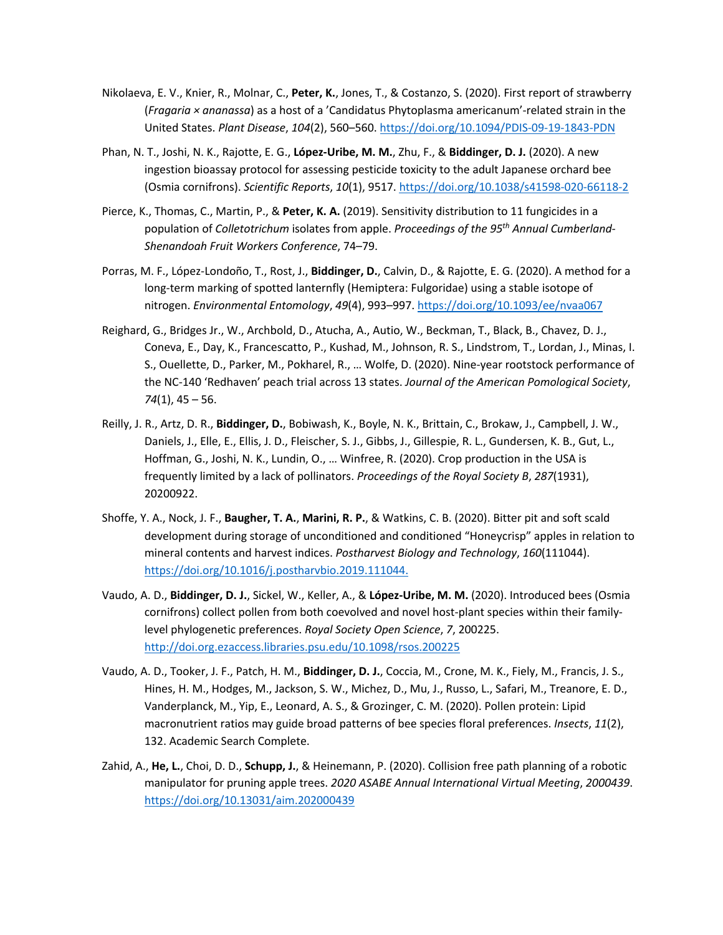- Nikolaeva, E. V., Knier, R., Molnar, C., **Peter, K.**, Jones, T., & Costanzo, S. (2020). First report of strawberry (*Fragaria × ananassa*) as a host of a 'Candidatus Phytoplasma americanum'-related strain in the United States. *Plant Disease*, *104*(2), 560–560. https://doi.org/10.1094/PDIS-09-19-1843-PDN
- Phan, N. T., Joshi, N. K., Rajotte, E. G., **López-Uribe, M. M.**, Zhu, F., & **Biddinger, D. J.** (2020). A new ingestion bioassay protocol for assessing pesticide toxicity to the adult Japanese orchard bee (Osmia cornifrons). *Scientific Reports*, *10*(1), 9517. https://doi.org/10.1038/s41598-020-66118-2
- Pierce, K., Thomas, C., Martin, P., & **Peter, K. A.** (2019). Sensitivity distribution to 11 fungicides in a population of *Colletotrichum* isolates from apple. *Proceedings of the 95th Annual Cumberland-Shenandoah Fruit Workers Conference*, 74–79.
- Porras, M. F., López-Londoño, T., Rost, J., **Biddinger, D.**, Calvin, D., & Rajotte, E. G. (2020). A method for a long-term marking of spotted lanternfly (Hemiptera: Fulgoridae) using a stable isotope of nitrogen. *Environmental Entomology*, *49*(4), 993–997. https://doi.org/10.1093/ee/nvaa067
- Reighard, G., Bridges Jr., W., Archbold, D., Atucha, A., Autio, W., Beckman, T., Black, B., Chavez, D. J., Coneva, E., Day, K., Francescatto, P., Kushad, M., Johnson, R. S., Lindstrom, T., Lordan, J., Minas, I. S., Ouellette, D., Parker, M., Pokharel, R., … Wolfe, D. (2020). Nine-year rootstock performance of the NC-140 'Redhaven' peach trial across 13 states. *Journal of the American Pomological Society*, *74*(1), 45 – 56.
- Reilly, J. R., Artz, D. R., **Biddinger, D.**, Bobiwash, K., Boyle, N. K., Brittain, C., Brokaw, J., Campbell, J. W., Daniels, J., Elle, E., Ellis, J. D., Fleischer, S. J., Gibbs, J., Gillespie, R. L., Gundersen, K. B., Gut, L., Hoffman, G., Joshi, N. K., Lundin, O., … Winfree, R. (2020). Crop production in the USA is frequently limited by a lack of pollinators. *Proceedings of the Royal Society B*, *287*(1931), 20200922.
- Shoffe, Y. A., Nock, J. F., **Baugher, T. A.**, **Marini, R. P.**, & Watkins, C. B. (2020). Bitter pit and soft scald development during storage of unconditioned and conditioned "Honeycrisp" apples in relation to mineral contents and harvest indices. *Postharvest Biology and Technology*, *160*(111044). https://doi.org/10.1016/j.postharvbio.2019.111044.
- Vaudo, A. D., **Biddinger, D. J.**, Sickel, W., Keller, A., & **López-Uribe, M. M.** (2020). Introduced bees (Osmia cornifrons) collect pollen from both coevolved and novel host-plant species within their familylevel phylogenetic preferences. *Royal Society Open Science*, *7*, 200225. http://doi.org.ezaccess.libraries.psu.edu/10.1098/rsos.200225
- Vaudo, A. D., Tooker, J. F., Patch, H. M., **Biddinger, D. J.**, Coccia, M., Crone, M. K., Fiely, M., Francis, J. S., Hines, H. M., Hodges, M., Jackson, S. W., Michez, D., Mu, J., Russo, L., Safari, M., Treanore, E. D., Vanderplanck, M., Yip, E., Leonard, A. S., & Grozinger, C. M. (2020). Pollen protein: Lipid macronutrient ratios may guide broad patterns of bee species floral preferences. *Insects*, *11*(2), 132. Academic Search Complete.
- Zahid, A., **He, L.**, Choi, D. D., **Schupp, J.**, & Heinemann, P. (2020). Collision free path planning of a robotic manipulator for pruning apple trees. *2020 ASABE Annual International Virtual Meeting*, *2000439*. https://doi.org/10.13031/aim.202000439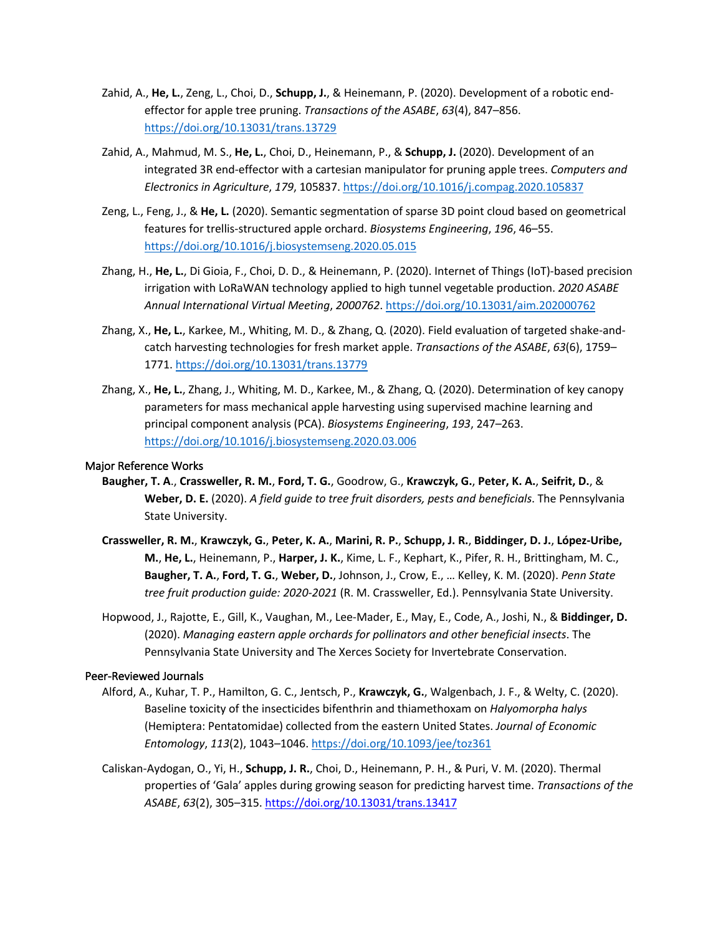- Zahid, A., **He, L.**, Zeng, L., Choi, D., **Schupp, J.**, & Heinemann, P. (2020). Development of a robotic endeffector for apple tree pruning. *Transactions of the ASABE*, *63*(4), 847–856. https://doi.org/10.13031/trans.13729
- Zahid, A., Mahmud, M. S., **He, L.**, Choi, D., Heinemann, P., & **Schupp, J.** (2020). Development of an integrated 3R end-effector with a cartesian manipulator for pruning apple trees. *Computers and Electronics in Agriculture*, *179*, 105837. https://doi.org/10.1016/j.compag.2020.105837
- Zeng, L., Feng, J., & **He, L.** (2020). Semantic segmentation of sparse 3D point cloud based on geometrical features for trellis-structured apple orchard. *Biosystems Engineering*, *196*, 46–55. https://doi.org/10.1016/j.biosystemseng.2020.05.015
- Zhang, H., **He, L.**, Di Gioia, F., Choi, D. D., & Heinemann, P. (2020). Internet of Things (IoT)-based precision irrigation with LoRaWAN technology applied to high tunnel vegetable production. *2020 ASABE Annual International Virtual Meeting*, *2000762*. https://doi.org/10.13031/aim.202000762
- Zhang, X., **He, L.**, Karkee, M., Whiting, M. D., & Zhang, Q. (2020). Field evaluation of targeted shake-andcatch harvesting technologies for fresh market apple. *Transactions of the ASABE*, *63*(6), 1759– 1771. https://doi.org/10.13031/trans.13779
- Zhang, X., **He, L.**, Zhang, J., Whiting, M. D., Karkee, M., & Zhang, Q. (2020). Determination of key canopy parameters for mass mechanical apple harvesting using supervised machine learning and principal component analysis (PCA). *Biosystems Engineering*, *193*, 247–263. https://doi.org/10.1016/j.biosystemseng.2020.03.006

# Major Reference Works

- **Baugher, T. A**., **Crassweller, R. M.**, **Ford, T. G.**, Goodrow, G., **Krawczyk, G.**, **Peter, K. A.**, **Seifrit, D.**, & **Weber, D. E.** (2020). *A field guide to tree fruit disorders, pests and beneficials*. The Pennsylvania State University.
- **Crassweller, R. M.**, **Krawczyk, G.**, **Peter, K. A.**, **Marini, R. P.**, **Schupp, J. R.**, **Biddinger, D. J.**, **López-Uribe, M.**, **He, L.**, Heinemann, P., **Harper, J. K.**, Kime, L. F., Kephart, K., Pifer, R. H., Brittingham, M. C., **Baugher, T. A.**, **Ford, T. G.**, **Weber, D.**, Johnson, J., Crow, E., … Kelley, K. M. (2020). *Penn State tree fruit production guide: 2020-2021* (R. M. Crassweller, Ed.). Pennsylvania State University.
- Hopwood, J., Rajotte, E., Gill, K., Vaughan, M., Lee-Mader, E., May, E., Code, A., Joshi, N., & **Biddinger, D.** (2020). *Managing eastern apple orchards for pollinators and other beneficial insects*. The Pennsylvania State University and The Xerces Society for Invertebrate Conservation.

#### Peer-Reviewed Journals

- Alford, A., Kuhar, T. P., Hamilton, G. C., Jentsch, P., **Krawczyk, G.**, Walgenbach, J. F., & Welty, C. (2020). Baseline toxicity of the insecticides bifenthrin and thiamethoxam on *Halyomorpha halys* (Hemiptera: Pentatomidae) collected from the eastern United States. *Journal of Economic Entomology*, *113*(2), 1043–1046. https://doi.org/10.1093/jee/toz361
- Caliskan-Aydogan, O., Yi, H., **Schupp, J. R.**, Choi, D., Heinemann, P. H., & Puri, V. M. (2020). Thermal properties of 'Gala' apples during growing season for predicting harvest time. *Transactions of the ASABE*, *63*(2), 305–315. https://doi.org/10.13031/trans.13417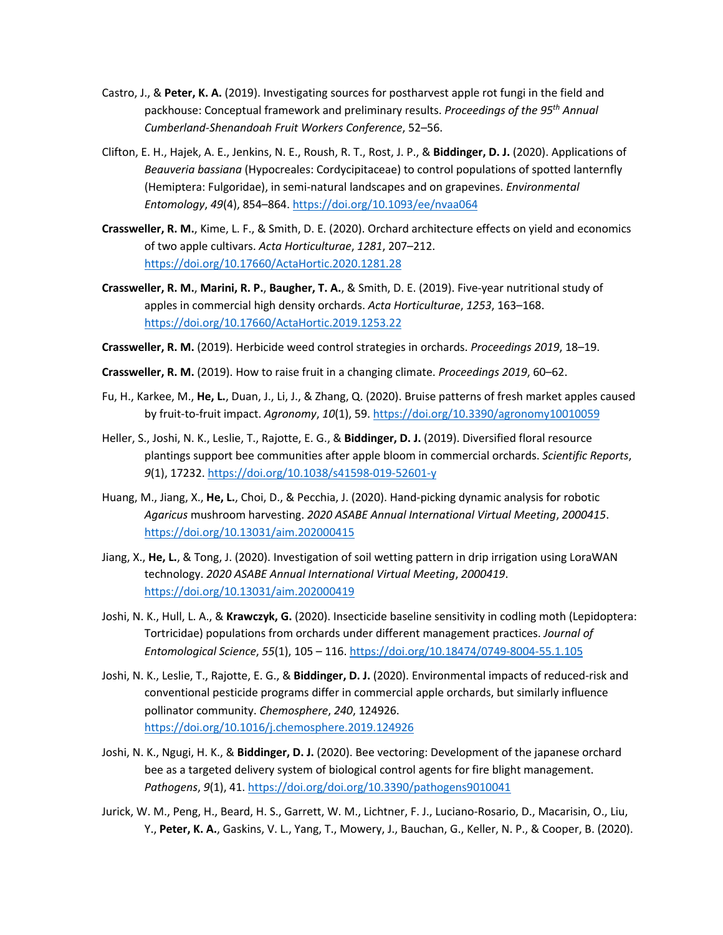- Castro, J., & **Peter, K. A.** (2019). Investigating sources for postharvest apple rot fungi in the field and packhouse: Conceptual framework and preliminary results. *Proceedings of the 95th Annual Cumberland-Shenandoah Fruit Workers Conference*, 52–56.
- Clifton, E. H., Hajek, A. E., Jenkins, N. E., Roush, R. T., Rost, J. P., & **Biddinger, D. J.** (2020). Applications of *Beauveria bassiana* (Hypocreales: Cordycipitaceae) to control populations of spotted lanternfly (Hemiptera: Fulgoridae), in semi-natural landscapes and on grapevines. *Environmental Entomology*, *49*(4), 854–864. https://doi.org/10.1093/ee/nvaa064
- **Crassweller, R. M.**, Kime, L. F., & Smith, D. E. (2020). Orchard architecture effects on yield and economics of two apple cultivars. *Acta Horticulturae*, *1281*, 207–212. https://doi.org/10.17660/ActaHortic.2020.1281.28
- **Crassweller, R. M.**, **Marini, R. P.**, **Baugher, T. A.**, & Smith, D. E. (2019). Five-year nutritional study of apples in commercial high density orchards. *Acta Horticulturae*, *1253*, 163–168. https://doi.org/10.17660/ActaHortic.2019.1253.22
- **Crassweller, R. M.** (2019). Herbicide weed control strategies in orchards. *Proceedings 2019*, 18–19.
- **Crassweller, R. M.** (2019). How to raise fruit in a changing climate. *Proceedings 2019*, 60–62.
- Fu, H., Karkee, M., **He, L.**, Duan, J., Li, J., & Zhang, Q. (2020). Bruise patterns of fresh market apples caused by fruit-to-fruit impact. *Agronomy*, *10*(1), 59. https://doi.org/10.3390/agronomy10010059
- Heller, S., Joshi, N. K., Leslie, T., Rajotte, E. G., & **Biddinger, D. J.** (2019). Diversified floral resource plantings support bee communities after apple bloom in commercial orchards. *Scientific Reports*, *9*(1), 17232. https://doi.org/10.1038/s41598-019-52601-y
- Huang, M., Jiang, X., **He, L.**, Choi, D., & Pecchia, J. (2020). Hand-picking dynamic analysis for robotic *Agaricus* mushroom harvesting. *2020 ASABE Annual International Virtual Meeting*, *2000415*. https://doi.org/10.13031/aim.202000415
- Jiang, X., **He, L.**, & Tong, J. (2020). Investigation of soil wetting pattern in drip irrigation using LoraWAN technology. *2020 ASABE Annual International Virtual Meeting*, *2000419*. https://doi.org/10.13031/aim.202000419
- Joshi, N. K., Hull, L. A., & **Krawczyk, G.** (2020). Insecticide baseline sensitivity in codling moth (Lepidoptera: Tortricidae) populations from orchards under different management practices. *Journal of Entomological Science*, *55*(1), 105 – 116. https://doi.org/10.18474/0749-8004-55.1.105
- Joshi, N. K., Leslie, T., Rajotte, E. G., & **Biddinger, D. J.** (2020). Environmental impacts of reduced-risk and conventional pesticide programs differ in commercial apple orchards, but similarly influence pollinator community. *Chemosphere*, *240*, 124926. https://doi.org/10.1016/j.chemosphere.2019.124926
- Joshi, N. K., Ngugi, H. K., & **Biddinger, D. J.** (2020). Bee vectoring: Development of the japanese orchard bee as a targeted delivery system of biological control agents for fire blight management. *Pathogens*, *9*(1), 41. https://doi.org/doi.org/10.3390/pathogens9010041
- Jurick, W. M., Peng, H., Beard, H. S., Garrett, W. M., Lichtner, F. J., Luciano-Rosario, D., Macarisin, O., Liu, Y., **Peter, K. A.**, Gaskins, V. L., Yang, T., Mowery, J., Bauchan, G., Keller, N. P., & Cooper, B. (2020).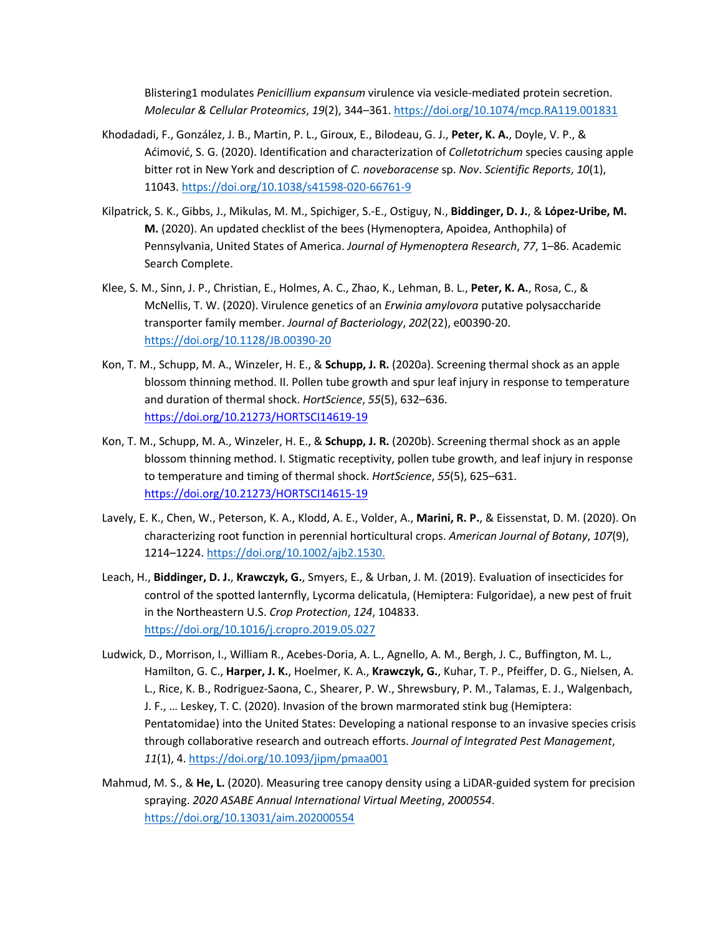Blistering1 modulates *Penicillium expansum* virulence via vesicle-mediated protein secretion. *Molecular & Cellular Proteomics*, *19*(2), 344–361. https://doi.org/10.1074/mcp.RA119.001831

- Khodadadi, F., González, J. B., Martin, P. L., Giroux, E., Bilodeau, G. J., **Peter, K. A.**, Doyle, V. P., & Aćimović, S. G. (2020). Identification and characterization of *Colletotrichum* species causing apple bitter rot in New York and description of *C. noveboracense* sp. *Nov*. *Scientific Reports*, *10*(1), 11043. https://doi.org/10.1038/s41598-020-66761-9
- Kilpatrick, S. K., Gibbs, J., Mikulas, M. M., Spichiger, S.-E., Ostiguy, N., **Biddinger, D. J.**, & **López-Uribe, M. M.** (2020). An updated checklist of the bees (Hymenoptera, Apoidea, Anthophila) of Pennsylvania, United States of America. *Journal of Hymenoptera Research*, *77*, 1–86. Academic Search Complete.
- Klee, S. M., Sinn, J. P., Christian, E., Holmes, A. C., Zhao, K., Lehman, B. L., **Peter, K. A.**, Rosa, C., & McNellis, T. W. (2020). Virulence genetics of an *Erwinia amylovora* putative polysaccharide transporter family member. *Journal of Bacteriology*, *202*(22), e00390-20. https://doi.org/10.1128/JB.00390-20
- Kon, T. M., Schupp, M. A., Winzeler, H. E., & **Schupp, J. R.** (2020a). Screening thermal shock as an apple blossom thinning method. II. Pollen tube growth and spur leaf injury in response to temperature and duration of thermal shock. *HortScience*, *55*(5), 632–636. https://doi.org/10.21273/HORTSCI14619-19
- Kon, T. M., Schupp, M. A., Winzeler, H. E., & **Schupp, J. R.** (2020b). Screening thermal shock as an apple blossom thinning method. I. Stigmatic receptivity, pollen tube growth, and leaf injury in response to temperature and timing of thermal shock. *HortScience*, *55*(5), 625–631. https://doi.org/10.21273/HORTSCI14615-19
- Lavely, E. K., Chen, W., Peterson, K. A., Klodd, A. E., Volder, A., **Marini, R. P.**, & Eissenstat, D. M. (2020). On characterizing root function in perennial horticultural crops. *American Journal of Botany*, *107*(9), 1214–1224. https://doi.org/10.1002/ajb2.1530.
- Leach, H., **Biddinger, D. J.**, **Krawczyk, G.**, Smyers, E., & Urban, J. M. (2019). Evaluation of insecticides for control of the spotted lanternfly, Lycorma delicatula, (Hemiptera: Fulgoridae), a new pest of fruit in the Northeastern U.S. *Crop Protection*, *124*, 104833. https://doi.org/10.1016/j.cropro.2019.05.027
- Ludwick, D., Morrison, I., William R., Acebes-Doria, A. L., Agnello, A. M., Bergh, J. C., Buffington, M. L., Hamilton, G. C., **Harper, J. K.**, Hoelmer, K. A., **Krawczyk, G.**, Kuhar, T. P., Pfeiffer, D. G., Nielsen, A. L., Rice, K. B., Rodriguez-Saona, C., Shearer, P. W., Shrewsbury, P. M., Talamas, E. J., Walgenbach, J. F., … Leskey, T. C. (2020). Invasion of the brown marmorated stink bug (Hemiptera: Pentatomidae) into the United States: Developing a national response to an invasive species crisis through collaborative research and outreach efforts. *Journal of Integrated Pest Management*, *11*(1), 4. https://doi.org/10.1093/jipm/pmaa001
- Mahmud, M. S., & **He, L.** (2020). Measuring tree canopy density using a LiDAR-guided system for precision spraying. *2020 ASABE Annual International Virtual Meeting*, *2000554*. https://doi.org/10.13031/aim.202000554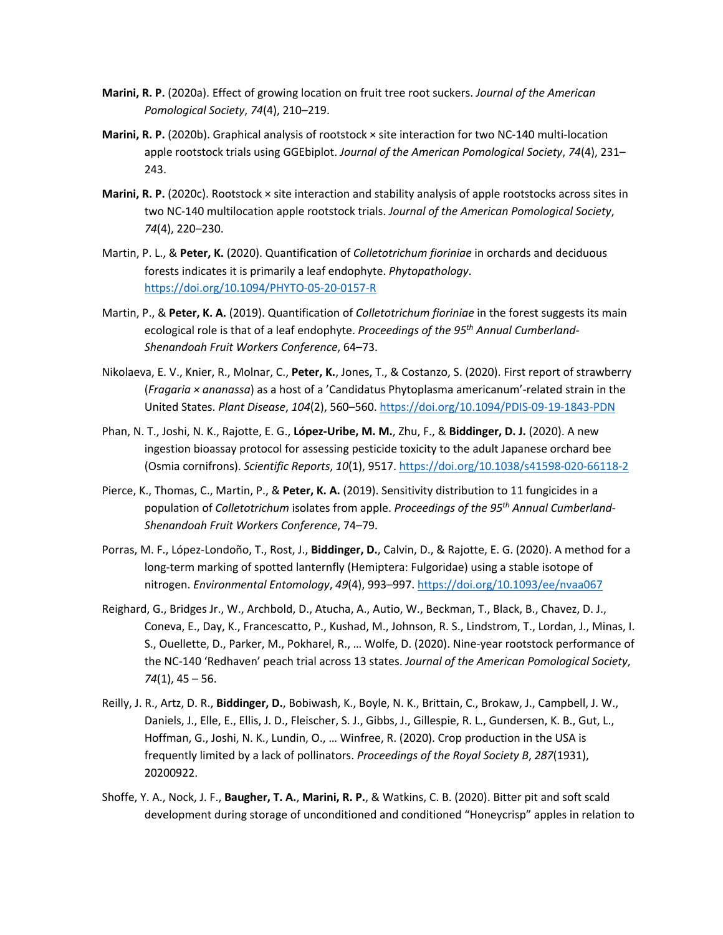- **Marini, R. P.** (2020a). Effect of growing location on fruit tree root suckers. *Journal of the American Pomological Society*, *74*(4), 210–219.
- **Marini, R. P.** (2020b). Graphical analysis of rootstock × site interaction for two NC-140 multi-location apple rootstock trials using GGEbiplot. *Journal of the American Pomological Society*, *74*(4), 231– 243.
- **Marini, R. P.** (2020c). Rootstock × site interaction and stability analysis of apple rootstocks across sites in two NC-140 multilocation apple rootstock trials. *Journal of the American Pomological Society*, *74*(4), 220–230.
- Martin, P. L., & **Peter, K.** (2020). Quantification of *Colletotrichum fioriniae* in orchards and deciduous forests indicates it is primarily a leaf endophyte. *Phytopathology*. https://doi.org/10.1094/PHYTO-05-20-0157-R
- Martin, P., & **Peter, K. A.** (2019). Quantification of *Colletotrichum fioriniae* in the forest suggests its main ecological role is that of a leaf endophyte. *Proceedings of the 95th Annual Cumberland-Shenandoah Fruit Workers Conference*, 64–73.
- Nikolaeva, E. V., Knier, R., Molnar, C., **Peter, K.**, Jones, T., & Costanzo, S. (2020). First report of strawberry (*Fragaria × ananassa*) as a host of a 'Candidatus Phytoplasma americanum'-related strain in the United States. *Plant Disease*, *104*(2), 560–560. https://doi.org/10.1094/PDIS-09-19-1843-PDN
- Phan, N. T., Joshi, N. K., Rajotte, E. G., **López-Uribe, M. M.**, Zhu, F., & **Biddinger, D. J.** (2020). A new ingestion bioassay protocol for assessing pesticide toxicity to the adult Japanese orchard bee (Osmia cornifrons). *Scientific Reports*, *10*(1), 9517. https://doi.org/10.1038/s41598-020-66118-2
- Pierce, K., Thomas, C., Martin, P., & **Peter, K. A.** (2019). Sensitivity distribution to 11 fungicides in a population of *Colletotrichum* isolates from apple. *Proceedings of the 95th Annual Cumberland-Shenandoah Fruit Workers Conference*, 74–79.
- Porras, M. F., López-Londoño, T., Rost, J., **Biddinger, D.**, Calvin, D., & Rajotte, E. G. (2020). A method for a long-term marking of spotted lanternfly (Hemiptera: Fulgoridae) using a stable isotope of nitrogen. *Environmental Entomology*, *49*(4), 993–997. https://doi.org/10.1093/ee/nvaa067
- Reighard, G., Bridges Jr., W., Archbold, D., Atucha, A., Autio, W., Beckman, T., Black, B., Chavez, D. J., Coneva, E., Day, K., Francescatto, P., Kushad, M., Johnson, R. S., Lindstrom, T., Lordan, J., Minas, I. S., Ouellette, D., Parker, M., Pokharel, R., … Wolfe, D. (2020). Nine-year rootstock performance of the NC-140 'Redhaven' peach trial across 13 states. *Journal of the American Pomological Society*, *74*(1), 45 – 56.
- Reilly, J. R., Artz, D. R., **Biddinger, D.**, Bobiwash, K., Boyle, N. K., Brittain, C., Brokaw, J., Campbell, J. W., Daniels, J., Elle, E., Ellis, J. D., Fleischer, S. J., Gibbs, J., Gillespie, R. L., Gundersen, K. B., Gut, L., Hoffman, G., Joshi, N. K., Lundin, O., … Winfree, R. (2020). Crop production in the USA is frequently limited by a lack of pollinators. *Proceedings of the Royal Society B*, *287*(1931), 20200922.
- Shoffe, Y. A., Nock, J. F., **Baugher, T. A.**, **Marini, R. P.**, & Watkins, C. B. (2020). Bitter pit and soft scald development during storage of unconditioned and conditioned "Honeycrisp" apples in relation to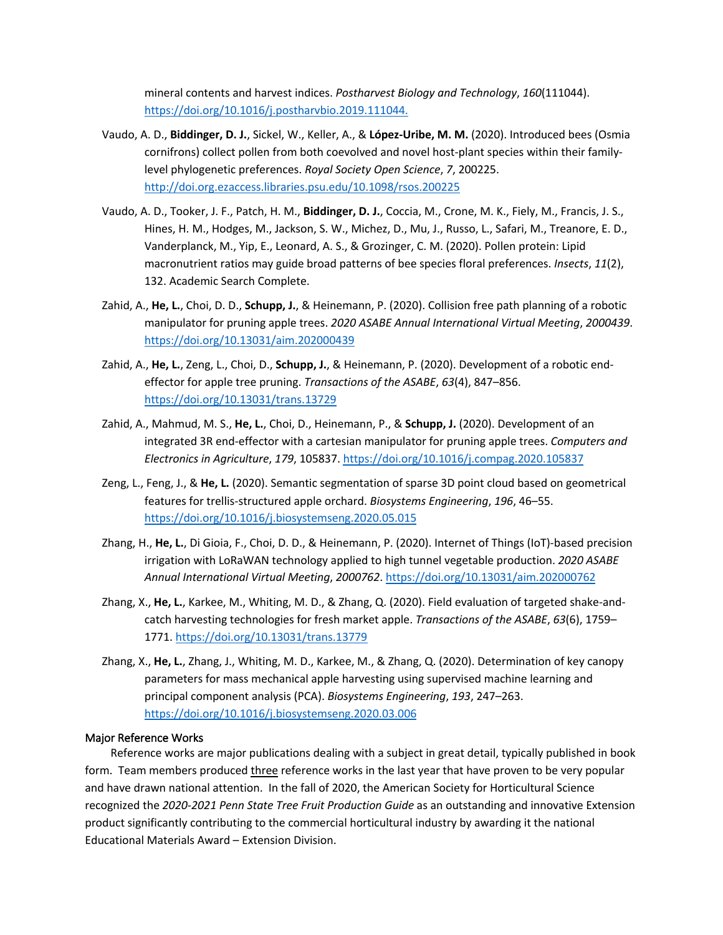mineral contents and harvest indices. *Postharvest Biology and Technology*, *160*(111044). https://doi.org/10.1016/j.postharvbio.2019.111044.

- Vaudo, A. D., **Biddinger, D. J.**, Sickel, W., Keller, A., & **López-Uribe, M. M.** (2020). Introduced bees (Osmia cornifrons) collect pollen from both coevolved and novel host-plant species within their familylevel phylogenetic preferences. *Royal Society Open Science*, *7*, 200225. http://doi.org.ezaccess.libraries.psu.edu/10.1098/rsos.200225
- Vaudo, A. D., Tooker, J. F., Patch, H. M., **Biddinger, D. J.**, Coccia, M., Crone, M. K., Fiely, M., Francis, J. S., Hines, H. M., Hodges, M., Jackson, S. W., Michez, D., Mu, J., Russo, L., Safari, M., Treanore, E. D., Vanderplanck, M., Yip, E., Leonard, A. S., & Grozinger, C. M. (2020). Pollen protein: Lipid macronutrient ratios may guide broad patterns of bee species floral preferences. *Insects*, *11*(2), 132. Academic Search Complete.
- Zahid, A., **He, L.**, Choi, D. D., **Schupp, J.**, & Heinemann, P. (2020). Collision free path planning of a robotic manipulator for pruning apple trees. *2020 ASABE Annual International Virtual Meeting*, *2000439*. https://doi.org/10.13031/aim.202000439
- Zahid, A., **He, L.**, Zeng, L., Choi, D., **Schupp, J.**, & Heinemann, P. (2020). Development of a robotic endeffector for apple tree pruning. *Transactions of the ASABE*, *63*(4), 847–856. https://doi.org/10.13031/trans.13729
- Zahid, A., Mahmud, M. S., **He, L.**, Choi, D., Heinemann, P., & **Schupp, J.** (2020). Development of an integrated 3R end-effector with a cartesian manipulator for pruning apple trees. *Computers and Electronics in Agriculture*, *179*, 105837. https://doi.org/10.1016/j.compag.2020.105837
- Zeng, L., Feng, J., & **He, L.** (2020). Semantic segmentation of sparse 3D point cloud based on geometrical features for trellis-structured apple orchard. *Biosystems Engineering*, *196*, 46–55. https://doi.org/10.1016/j.biosystemseng.2020.05.015
- Zhang, H., **He, L.**, Di Gioia, F., Choi, D. D., & Heinemann, P. (2020). Internet of Things (IoT)-based precision irrigation with LoRaWAN technology applied to high tunnel vegetable production. *2020 ASABE Annual International Virtual Meeting*, *2000762*. https://doi.org/10.13031/aim.202000762
- Zhang, X., **He, L.**, Karkee, M., Whiting, M. D., & Zhang, Q. (2020). Field evaluation of targeted shake-andcatch harvesting technologies for fresh market apple. *Transactions of the ASABE*, *63*(6), 1759– 1771. https://doi.org/10.13031/trans.13779
- Zhang, X., **He, L.**, Zhang, J., Whiting, M. D., Karkee, M., & Zhang, Q. (2020). Determination of key canopy parameters for mass mechanical apple harvesting using supervised machine learning and principal component analysis (PCA). *Biosystems Engineering*, *193*, 247–263. https://doi.org/10.1016/j.biosystemseng.2020.03.006

# Major Reference Works

Reference works are major publications dealing with a subject in great detail, typically published in book form. Team members produced *three reference works in the last year that have proven to be very popular* and have drawn national attention. In the fall of 2020, the American Society for Horticultural Science recognized the *2020-2021 Penn State Tree Fruit Production Guide* as an outstanding and innovative Extension product significantly contributing to the commercial horticultural industry by awarding it the national Educational Materials Award – Extension Division.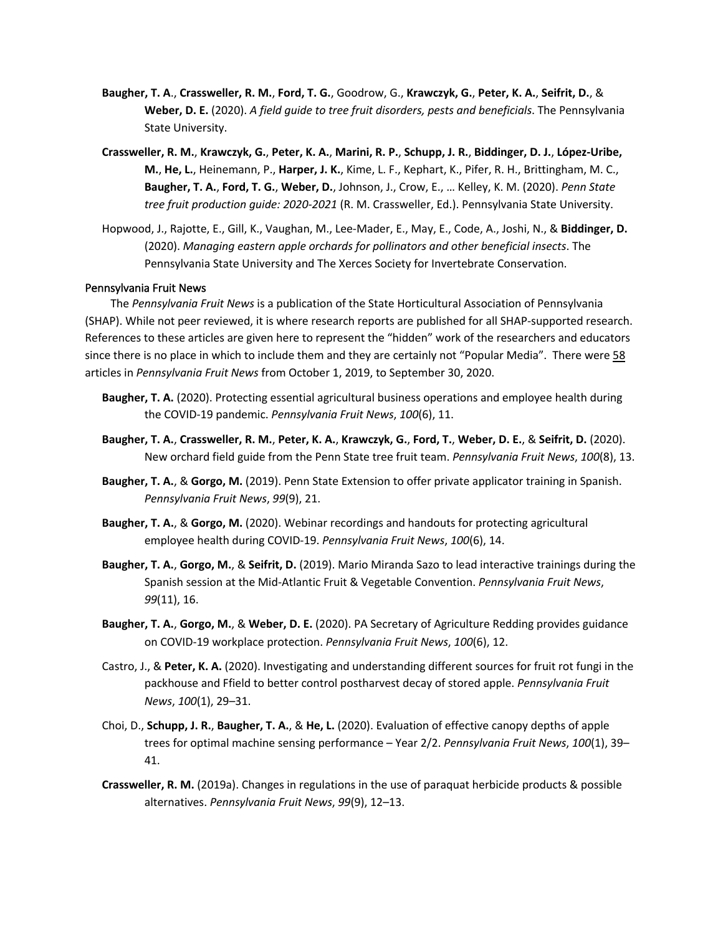- **Baugher, T. A**., **Crassweller, R. M.**, **Ford, T. G.**, Goodrow, G., **Krawczyk, G.**, **Peter, K. A.**, **Seifrit, D.**, & **Weber, D. E.** (2020). *A field guide to tree fruit disorders, pests and beneficials*. The Pennsylvania State University.
- **Crassweller, R. M.**, **Krawczyk, G.**, **Peter, K. A.**, **Marini, R. P.**, **Schupp, J. R.**, **Biddinger, D. J.**, **López-Uribe, M.**, **He, L.**, Heinemann, P., **Harper, J. K.**, Kime, L. F., Kephart, K., Pifer, R. H., Brittingham, M. C., **Baugher, T. A.**, **Ford, T. G.**, **Weber, D.**, Johnson, J., Crow, E., … Kelley, K. M. (2020). *Penn State tree fruit production guide: 2020-2021* (R. M. Crassweller, Ed.). Pennsylvania State University.
- Hopwood, J., Rajotte, E., Gill, K., Vaughan, M., Lee-Mader, E., May, E., Code, A., Joshi, N., & **Biddinger, D.** (2020). *Managing eastern apple orchards for pollinators and other beneficial insects*. The Pennsylvania State University and The Xerces Society for Invertebrate Conservation.

#### Pennsylvania Fruit News

The *Pennsylvania Fruit News* is a publication of the State Horticultural Association of Pennsylvania (SHAP). While not peer reviewed, it is where research reports are published for all SHAP-supported research. References to these articles are given here to represent the "hidden" work of the researchers and educators since there is no place in which to include them and they are certainly not "Popular Media". There were 58 articles in *Pennsylvania Fruit News* from October 1, 2019, to September 30, 2020.

- **Baugher, T. A.** (2020). Protecting essential agricultural business operations and employee health during the COVID-19 pandemic. *Pennsylvania Fruit News*, *100*(6), 11.
- **Baugher, T. A.**, **Crassweller, R. M.**, **Peter, K. A.**, **Krawczyk, G.**, **Ford, T.**, **Weber, D. E.**, & **Seifrit, D.** (2020). New orchard field guide from the Penn State tree fruit team. *Pennsylvania Fruit News*, *100*(8), 13.
- **Baugher, T. A.**, & **Gorgo, M.** (2019). Penn State Extension to offer private applicator training in Spanish. *Pennsylvania Fruit News*, *99*(9), 21.
- **Baugher, T. A.**, & **Gorgo, M.** (2020). Webinar recordings and handouts for protecting agricultural employee health during COVID-19. *Pennsylvania Fruit News*, *100*(6), 14.
- **Baugher, T. A.**, **Gorgo, M.**, & **Seifrit, D.** (2019). Mario Miranda Sazo to lead interactive trainings during the Spanish session at the Mid-Atlantic Fruit & Vegetable Convention. *Pennsylvania Fruit News*, *99*(11), 16.
- **Baugher, T. A.**, **Gorgo, M.**, & **Weber, D. E.** (2020). PA Secretary of Agriculture Redding provides guidance on COVID-19 workplace protection. *Pennsylvania Fruit News*, *100*(6), 12.
- Castro, J., & **Peter, K. A.** (2020). Investigating and understanding different sources for fruit rot fungi in the packhouse and Ffield to better control postharvest decay of stored apple. *Pennsylvania Fruit News*, *100*(1), 29–31.
- Choi, D., **Schupp, J. R.**, **Baugher, T. A.**, & **He, L.** (2020). Evaluation of effective canopy depths of apple trees for optimal machine sensing performance – Year 2/2. *Pennsylvania Fruit News*, *100*(1), 39– 41.
- **Crassweller, R. M.** (2019a). Changes in regulations in the use of paraquat herbicide products & possible alternatives. *Pennsylvania Fruit News*, *99*(9), 12–13.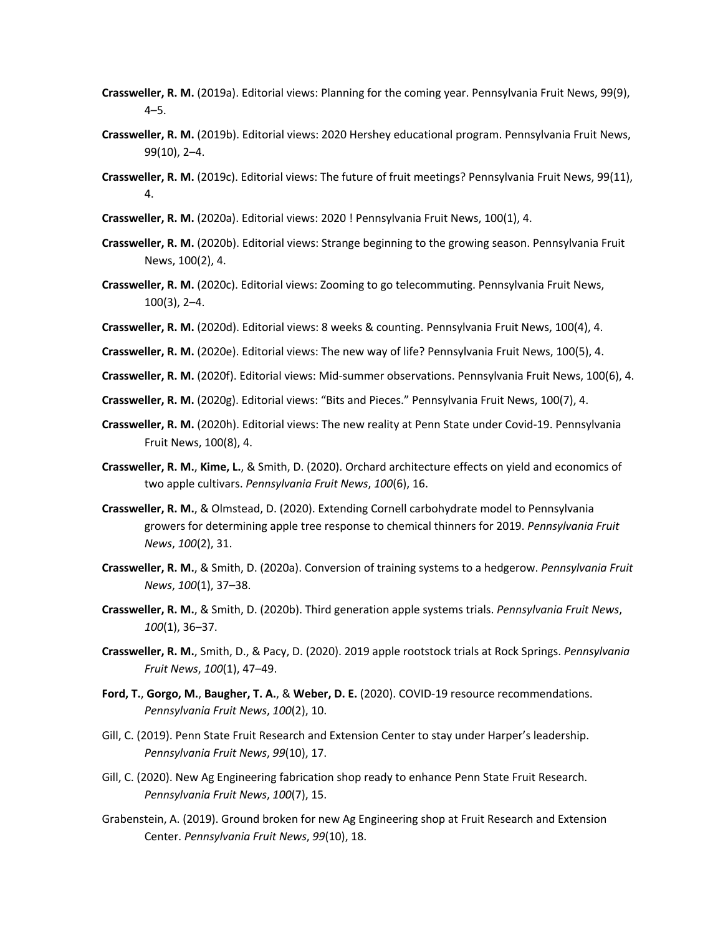- **Crassweller, R. M.** (2019a). Editorial views: Planning for the coming year. Pennsylvania Fruit News, 99(9), 4–5.
- **Crassweller, R. M.** (2019b). Editorial views: 2020 Hershey educational program. Pennsylvania Fruit News, 99(10), 2–4.
- **Crassweller, R. M.** (2019c). Editorial views: The future of fruit meetings? Pennsylvania Fruit News, 99(11), 4.
- **Crassweller, R. M.** (2020a). Editorial views: 2020 ! Pennsylvania Fruit News, 100(1), 4.
- **Crassweller, R. M.** (2020b). Editorial views: Strange beginning to the growing season. Pennsylvania Fruit News, 100(2), 4.
- **Crassweller, R. M.** (2020c). Editorial views: Zooming to go telecommuting. Pennsylvania Fruit News, 100(3), 2–4.
- **Crassweller, R. M.** (2020d). Editorial views: 8 weeks & counting. Pennsylvania Fruit News, 100(4), 4.
- **Crassweller, R. M.** (2020e). Editorial views: The new way of life? Pennsylvania Fruit News, 100(5), 4.
- **Crassweller, R. M.** (2020f). Editorial views: Mid-summer observations. Pennsylvania Fruit News, 100(6), 4.
- **Crassweller, R. M.** (2020g). Editorial views: "Bits and Pieces." Pennsylvania Fruit News, 100(7), 4.
- **Crassweller, R. M.** (2020h). Editorial views: The new reality at Penn State under Covid-19. Pennsylvania Fruit News, 100(8), 4.
- **Crassweller, R. M.**, **Kime, L.**, & Smith, D. (2020). Orchard architecture effects on yield and economics of two apple cultivars. *Pennsylvania Fruit News*, *100*(6), 16.
- **Crassweller, R. M.**, & Olmstead, D. (2020). Extending Cornell carbohydrate model to Pennsylvania growers for determining apple tree response to chemical thinners for 2019. *Pennsylvania Fruit News*, *100*(2), 31.
- **Crassweller, R. M.**, & Smith, D. (2020a). Conversion of training systems to a hedgerow. *Pennsylvania Fruit News*, *100*(1), 37–38.
- **Crassweller, R. M.**, & Smith, D. (2020b). Third generation apple systems trials. *Pennsylvania Fruit News*, *100*(1), 36–37.
- **Crassweller, R. M.**, Smith, D., & Pacy, D. (2020). 2019 apple rootstock trials at Rock Springs. *Pennsylvania Fruit News*, *100*(1), 47–49.
- **Ford, T.**, **Gorgo, M.**, **Baugher, T. A.**, & **Weber, D. E.** (2020). COVID-19 resource recommendations. *Pennsylvania Fruit News*, *100*(2), 10.
- Gill, C. (2019). Penn State Fruit Research and Extension Center to stay under Harper's leadership. *Pennsylvania Fruit News*, *99*(10), 17.
- Gill, C. (2020). New Ag Engineering fabrication shop ready to enhance Penn State Fruit Research. *Pennsylvania Fruit News*, *100*(7), 15.
- Grabenstein, A. (2019). Ground broken for new Ag Engineering shop at Fruit Research and Extension Center. *Pennsylvania Fruit News*, *99*(10), 18.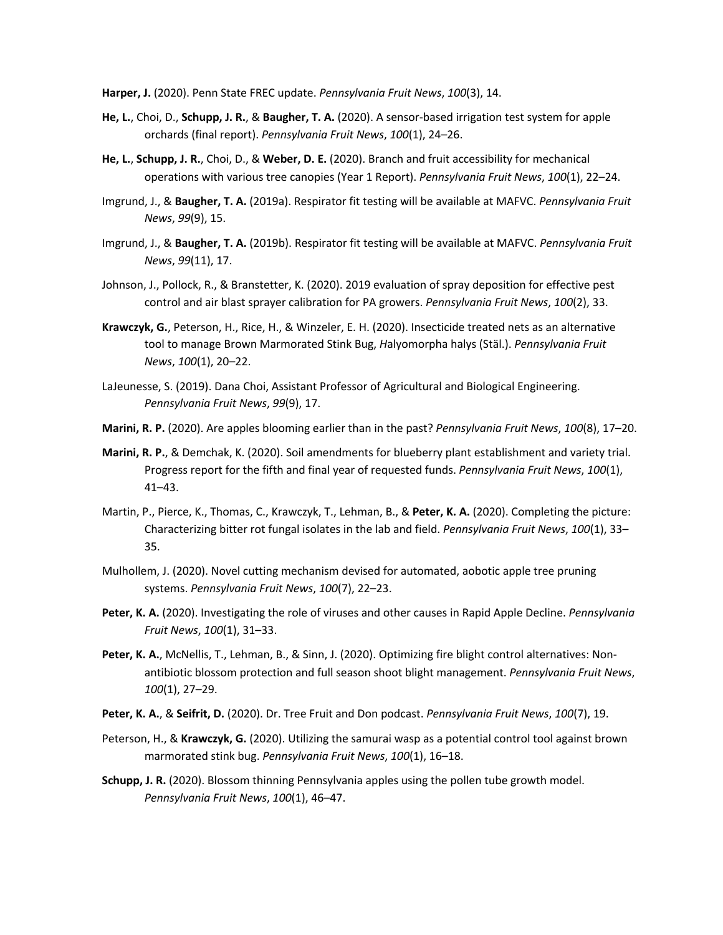**Harper, J.** (2020). Penn State FREC update. *Pennsylvania Fruit News*, *100*(3), 14.

- **He, L.**, Choi, D., **Schupp, J. R.**, & **Baugher, T. A.** (2020). A sensor-based irrigation test system for apple orchards (final report). *Pennsylvania Fruit News*, *100*(1), 24–26.
- **He, L.**, **Schupp, J. R.**, Choi, D., & **Weber, D. E.** (2020). Branch and fruit accessibility for mechanical operations with various tree canopies (Year 1 Report). *Pennsylvania Fruit News*, *100*(1), 22–24.
- Imgrund, J., & **Baugher, T. A.** (2019a). Respirator fit testing will be available at MAFVC. *Pennsylvania Fruit News*, *99*(9), 15.
- Imgrund, J., & **Baugher, T. A.** (2019b). Respirator fit testing will be available at MAFVC. *Pennsylvania Fruit News*, *99*(11), 17.
- Johnson, J., Pollock, R., & Branstetter, K. (2020). 2019 evaluation of spray deposition for effective pest control and air blast sprayer calibration for PA growers. *Pennsylvania Fruit News*, *100*(2), 33.
- **Krawczyk, G.**, Peterson, H., Rice, H., & Winzeler, E. H. (2020). Insecticide treated nets as an alternative tool to manage Brown Marmorated Stink Bug, *H*alyomorpha halys (Stäl.). *Pennsylvania Fruit News*, *100*(1), 20–22.
- LaJeunesse, S. (2019). Dana Choi, Assistant Professor of Agricultural and Biological Engineering. *Pennsylvania Fruit News*, *99*(9), 17.
- **Marini, R. P.** (2020). Are apples blooming earlier than in the past? *Pennsylvania Fruit News*, *100*(8), 17–20.
- **Marini, R. P.**, & Demchak, K. (2020). Soil amendments for blueberry plant establishment and variety trial. Progress report for the fifth and final year of requested funds. *Pennsylvania Fruit News*, *100*(1), 41–43.
- Martin, P., Pierce, K., Thomas, C., Krawczyk, T., Lehman, B., & **Peter, K. A.** (2020). Completing the picture: Characterizing bitter rot fungal isolates in the lab and field. *Pennsylvania Fruit News*, *100*(1), 33– 35.
- Mulhollem, J. (2020). Novel cutting mechanism devised for automated, aobotic apple tree pruning systems. *Pennsylvania Fruit News*, *100*(7), 22–23.
- **Peter, K. A.** (2020). Investigating the role of viruses and other causes in Rapid Apple Decline. *Pennsylvania Fruit News*, *100*(1), 31–33.
- **Peter, K. A.**, McNellis, T., Lehman, B., & Sinn, J. (2020). Optimizing fire blight control alternatives: Nonantibiotic blossom protection and full season shoot blight management. *Pennsylvania Fruit News*, *100*(1), 27–29.
- **Peter, K. A.**, & **Seifrit, D.** (2020). Dr. Tree Fruit and Don podcast. *Pennsylvania Fruit News*, *100*(7), 19.
- Peterson, H., & **Krawczyk, G.** (2020). Utilizing the samurai wasp as a potential control tool against brown marmorated stink bug. *Pennsylvania Fruit News*, *100*(1), 16–18.
- **Schupp, J. R.** (2020). Blossom thinning Pennsylvania apples using the pollen tube growth model. *Pennsylvania Fruit News*, *100*(1), 46–47.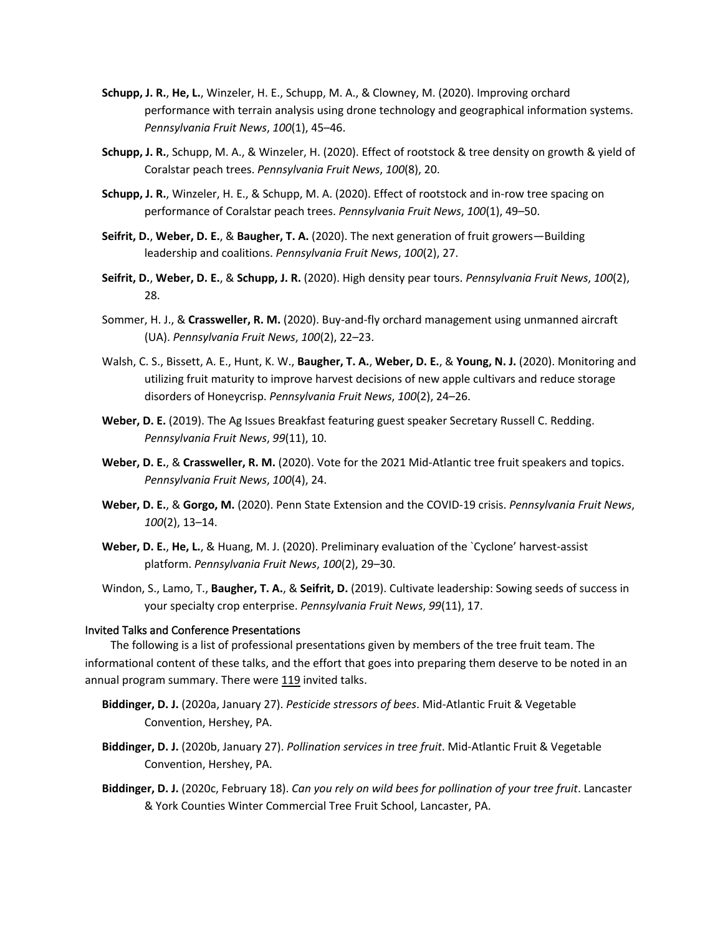- **Schupp, J. R.**, **He, L.**, Winzeler, H. E., Schupp, M. A., & Clowney, M. (2020). Improving orchard performance with terrain analysis using drone technology and geographical information systems. *Pennsylvania Fruit News*, *100*(1), 45–46.
- **Schupp, J. R.**, Schupp, M. A., & Winzeler, H. (2020). Effect of rootstock & tree density on growth & yield of Coralstar peach trees. *Pennsylvania Fruit News*, *100*(8), 20.
- **Schupp, J. R.**, Winzeler, H. E., & Schupp, M. A. (2020). Effect of rootstock and in-row tree spacing on performance of Coralstar peach trees. *Pennsylvania Fruit News*, *100*(1), 49–50.
- **Seifrit, D.**, **Weber, D. E.**, & **Baugher, T. A.** (2020). The next generation of fruit growers—Building leadership and coalitions. *Pennsylvania Fruit News*, *100*(2), 27.
- **Seifrit, D.**, **Weber, D. E.**, & **Schupp, J. R.** (2020). High density pear tours. *Pennsylvania Fruit News*, *100*(2), 28.
- Sommer, H. J., & **Crassweller, R. M.** (2020). Buy-and-fly orchard management using unmanned aircraft (UA). *Pennsylvania Fruit News*, *100*(2), 22–23.
- Walsh, C. S., Bissett, A. E., Hunt, K. W., **Baugher, T. A.**, **Weber, D. E.**, & **Young, N. J.** (2020). Monitoring and utilizing fruit maturity to improve harvest decisions of new apple cultivars and reduce storage disorders of Honeycrisp. *Pennsylvania Fruit News*, *100*(2), 24–26.
- **Weber, D. E.** (2019). The Ag Issues Breakfast featuring guest speaker Secretary Russell C. Redding. *Pennsylvania Fruit News*, *99*(11), 10.
- **Weber, D. E.**, & **Crassweller, R. M.** (2020). Vote for the 2021 Mid-Atlantic tree fruit speakers and topics. *Pennsylvania Fruit News*, *100*(4), 24.
- **Weber, D. E.**, & **Gorgo, M.** (2020). Penn State Extension and the COVID-19 crisis. *Pennsylvania Fruit News*, *100*(2), 13–14.
- **Weber, D. E.**, **He, L.**, & Huang, M. J. (2020). Preliminary evaluation of the `Cyclone' harvest-assist platform. *Pennsylvania Fruit News*, *100*(2), 29–30.
- Windon, S., Lamo, T., **Baugher, T. A.**, & **Seifrit, D.** (2019). Cultivate leadership: Sowing seeds of success in your specialty crop enterprise. *Pennsylvania Fruit News*, *99*(11), 17.

# Invited Talks and Conference Presentations

The following is a list of professional presentations given by members of the tree fruit team. The informational content of these talks, and the effort that goes into preparing them deserve to be noted in an annual program summary. There were 119 invited talks.

- **Biddinger, D. J.** (2020a, January 27). *Pesticide stressors of bees*. Mid-Atlantic Fruit & Vegetable Convention, Hershey, PA.
- **Biddinger, D. J.** (2020b, January 27). *Pollination services in tree fruit*. Mid-Atlantic Fruit & Vegetable Convention, Hershey, PA.
- **Biddinger, D. J.** (2020c, February 18). *Can you rely on wild bees for pollination of your tree fruit*. Lancaster & York Counties Winter Commercial Tree Fruit School, Lancaster, PA.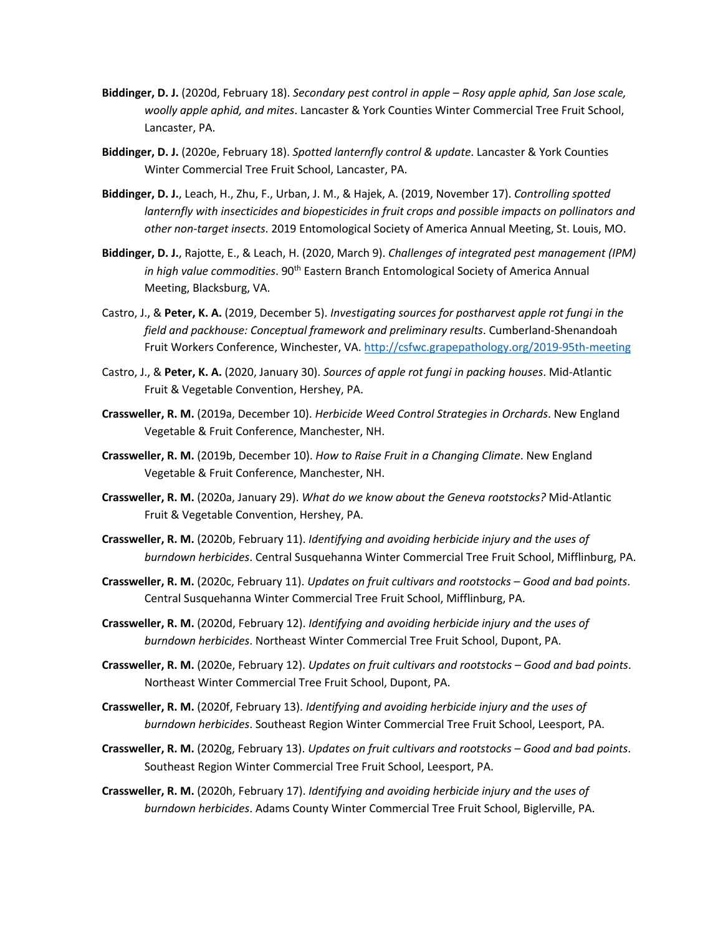- **Biddinger, D. J.** (2020d, February 18). *Secondary pest control in apple – Rosy apple aphid, San Jose scale, woolly apple aphid, and mites*. Lancaster & York Counties Winter Commercial Tree Fruit School, Lancaster, PA.
- **Biddinger, D. J.** (2020e, February 18). *Spotted lanternfly control & update*. Lancaster & York Counties Winter Commercial Tree Fruit School, Lancaster, PA.
- **Biddinger, D. J.**, Leach, H., Zhu, F., Urban, J. M., & Hajek, A. (2019, November 17). *Controlling spotted lanternfly with insecticides and biopesticides in fruit crops and possible impacts on pollinators and other non-target insects*. 2019 Entomological Society of America Annual Meeting, St. Louis, MO.
- **Biddinger, D. J.**, Rajotte, E., & Leach, H. (2020, March 9). *Challenges of integrated pest management (IPM) in high value commodities*. 90th Eastern Branch Entomological Society of America Annual Meeting, Blacksburg, VA.
- Castro, J., & **Peter, K. A.** (2019, December 5). *Investigating sources for postharvest apple rot fungi in the field and packhouse: Conceptual framework and preliminary results*. Cumberland-Shenandoah Fruit Workers Conference, Winchester, VA. http://csfwc.grapepathology.org/2019-95th-meeting
- Castro, J., & **Peter, K. A.** (2020, January 30). *Sources of apple rot fungi in packing houses*. Mid-Atlantic Fruit & Vegetable Convention, Hershey, PA.
- **Crassweller, R. M.** (2019a, December 10). *Herbicide Weed Control Strategies in Orchards*. New England Vegetable & Fruit Conference, Manchester, NH.
- **Crassweller, R. M.** (2019b, December 10). *How to Raise Fruit in a Changing Climate*. New England Vegetable & Fruit Conference, Manchester, NH.
- **Crassweller, R. M.** (2020a, January 29). *What do we know about the Geneva rootstocks?* Mid-Atlantic Fruit & Vegetable Convention, Hershey, PA.
- **Crassweller, R. M.** (2020b, February 11). *Identifying and avoiding herbicide injury and the uses of burndown herbicides*. Central Susquehanna Winter Commercial Tree Fruit School, Mifflinburg, PA.
- **Crassweller, R. M.** (2020c, February 11). *Updates on fruit cultivars and rootstocks – Good and bad points*. Central Susquehanna Winter Commercial Tree Fruit School, Mifflinburg, PA.
- **Crassweller, R. M.** (2020d, February 12). *Identifying and avoiding herbicide injury and the uses of burndown herbicides*. Northeast Winter Commercial Tree Fruit School, Dupont, PA.
- **Crassweller, R. M.** (2020e, February 12). *Updates on fruit cultivars and rootstocks – Good and bad points*. Northeast Winter Commercial Tree Fruit School, Dupont, PA.
- **Crassweller, R. M.** (2020f, February 13). *Identifying and avoiding herbicide injury and the uses of burndown herbicides*. Southeast Region Winter Commercial Tree Fruit School, Leesport, PA.
- **Crassweller, R. M.** (2020g, February 13). *Updates on fruit cultivars and rootstocks – Good and bad points*. Southeast Region Winter Commercial Tree Fruit School, Leesport, PA.
- **Crassweller, R. M.** (2020h, February 17). *Identifying and avoiding herbicide injury and the uses of burndown herbicides*. Adams County Winter Commercial Tree Fruit School, Biglerville, PA.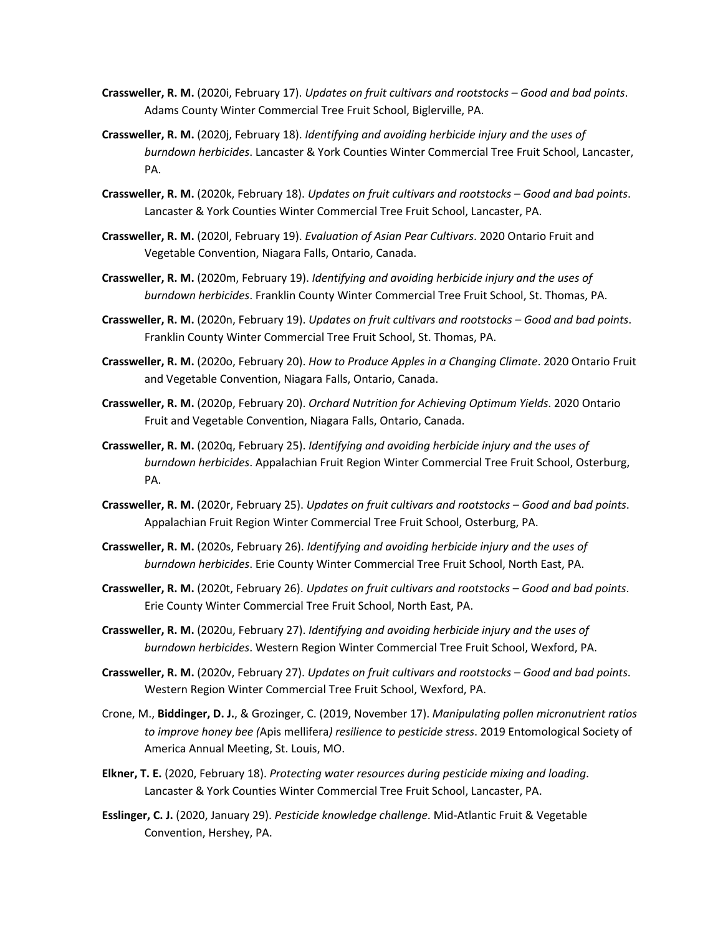- **Crassweller, R. M.** (2020i, February 17). *Updates on fruit cultivars and rootstocks – Good and bad points*. Adams County Winter Commercial Tree Fruit School, Biglerville, PA.
- **Crassweller, R. M.** (2020j, February 18). *Identifying and avoiding herbicide injury and the uses of burndown herbicides*. Lancaster & York Counties Winter Commercial Tree Fruit School, Lancaster, PA.
- **Crassweller, R. M.** (2020k, February 18). *Updates on fruit cultivars and rootstocks – Good and bad points*. Lancaster & York Counties Winter Commercial Tree Fruit School, Lancaster, PA.
- **Crassweller, R. M.** (2020l, February 19). *Evaluation of Asian Pear Cultivars*. 2020 Ontario Fruit and Vegetable Convention, Niagara Falls, Ontario, Canada.
- **Crassweller, R. M.** (2020m, February 19). *Identifying and avoiding herbicide injury and the uses of burndown herbicides*. Franklin County Winter Commercial Tree Fruit School, St. Thomas, PA.
- **Crassweller, R. M.** (2020n, February 19). *Updates on fruit cultivars and rootstocks – Good and bad points*. Franklin County Winter Commercial Tree Fruit School, St. Thomas, PA.
- **Crassweller, R. M.** (2020o, February 20). *How to Produce Apples in a Changing Climate*. 2020 Ontario Fruit and Vegetable Convention, Niagara Falls, Ontario, Canada.
- **Crassweller, R. M.** (2020p, February 20). *Orchard Nutrition for Achieving Optimum Yields*. 2020 Ontario Fruit and Vegetable Convention, Niagara Falls, Ontario, Canada.
- **Crassweller, R. M.** (2020q, February 25). *Identifying and avoiding herbicide injury and the uses of burndown herbicides*. Appalachian Fruit Region Winter Commercial Tree Fruit School, Osterburg, PA.
- **Crassweller, R. M.** (2020r, February 25). *Updates on fruit cultivars and rootstocks – Good and bad points*. Appalachian Fruit Region Winter Commercial Tree Fruit School, Osterburg, PA.
- **Crassweller, R. M.** (2020s, February 26). *Identifying and avoiding herbicide injury and the uses of burndown herbicides*. Erie County Winter Commercial Tree Fruit School, North East, PA.
- **Crassweller, R. M.** (2020t, February 26). *Updates on fruit cultivars and rootstocks – Good and bad points*. Erie County Winter Commercial Tree Fruit School, North East, PA.
- **Crassweller, R. M.** (2020u, February 27). *Identifying and avoiding herbicide injury and the uses of burndown herbicides*. Western Region Winter Commercial Tree Fruit School, Wexford, PA.
- **Crassweller, R. M.** (2020v, February 27). *Updates on fruit cultivars and rootstocks – Good and bad points*. Western Region Winter Commercial Tree Fruit School, Wexford, PA.
- Crone, M., **Biddinger, D. J.**, & Grozinger, C. (2019, November 17). *Manipulating pollen micronutrient ratios to improve honey bee (*Apis mellifera*) resilience to pesticide stress*. 2019 Entomological Society of America Annual Meeting, St. Louis, MO.
- **Elkner, T. E.** (2020, February 18). *Protecting water resources during pesticide mixing and loading*. Lancaster & York Counties Winter Commercial Tree Fruit School, Lancaster, PA.
- **Esslinger, C. J.** (2020, January 29). *Pesticide knowledge challenge*. Mid-Atlantic Fruit & Vegetable Convention, Hershey, PA.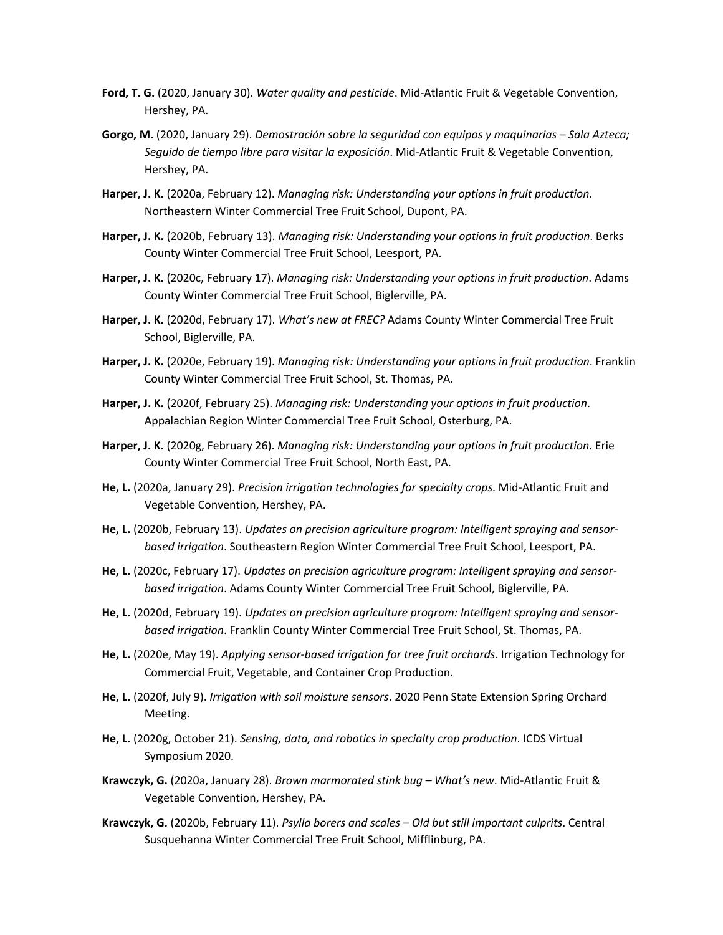- **Ford, T. G.** (2020, January 30). *Water quality and pesticide*. Mid-Atlantic Fruit & Vegetable Convention, Hershey, PA.
- **Gorgo, M.** (2020, January 29). *Demostración sobre la seguridad con equipos y maquinarias – Sala Azteca; Seguido de tiempo libre para visitar la exposición*. Mid-Atlantic Fruit & Vegetable Convention, Hershey, PA.
- **Harper, J. K.** (2020a, February 12). *Managing risk: Understanding your options in fruit production*. Northeastern Winter Commercial Tree Fruit School, Dupont, PA.
- **Harper, J. K.** (2020b, February 13). *Managing risk: Understanding your options in fruit production*. Berks County Winter Commercial Tree Fruit School, Leesport, PA.
- **Harper, J. K.** (2020c, February 17). *Managing risk: Understanding your options in fruit production*. Adams County Winter Commercial Tree Fruit School, Biglerville, PA.
- **Harper, J. K.** (2020d, February 17). *What's new at FREC?* Adams County Winter Commercial Tree Fruit School, Biglerville, PA.
- **Harper, J. K.** (2020e, February 19). *Managing risk: Understanding your options in fruit production*. Franklin County Winter Commercial Tree Fruit School, St. Thomas, PA.
- **Harper, J. K.** (2020f, February 25). *Managing risk: Understanding your options in fruit production*. Appalachian Region Winter Commercial Tree Fruit School, Osterburg, PA.
- **Harper, J. K.** (2020g, February 26). *Managing risk: Understanding your options in fruit production*. Erie County Winter Commercial Tree Fruit School, North East, PA.
- **He, L.** (2020a, January 29). *Precision irrigation technologies for specialty crops*. Mid-Atlantic Fruit and Vegetable Convention, Hershey, PA.
- **He, L.** (2020b, February 13). *Updates on precision agriculture program: Intelligent spraying and sensorbased irrigation*. Southeastern Region Winter Commercial Tree Fruit School, Leesport, PA.
- **He, L.** (2020c, February 17). *Updates on precision agriculture program: Intelligent spraying and sensorbased irrigation*. Adams County Winter Commercial Tree Fruit School, Biglerville, PA.
- **He, L.** (2020d, February 19). *Updates on precision agriculture program: Intelligent spraying and sensorbased irrigation*. Franklin County Winter Commercial Tree Fruit School, St. Thomas, PA.
- **He, L.** (2020e, May 19). *Applying sensor-based irrigation for tree fruit orchards*. Irrigation Technology for Commercial Fruit, Vegetable, and Container Crop Production.
- **He, L.** (2020f, July 9). *Irrigation with soil moisture sensors*. 2020 Penn State Extension Spring Orchard Meeting.
- **He, L.** (2020g, October 21). *Sensing, data, and robotics in specialty crop production*. ICDS Virtual Symposium 2020.
- **Krawczyk, G.** (2020a, January 28). *Brown marmorated stink bug – What's new*. Mid-Atlantic Fruit & Vegetable Convention, Hershey, PA.
- **Krawczyk, G.** (2020b, February 11). *Psylla borers and scales – Old but still important culprits*. Central Susquehanna Winter Commercial Tree Fruit School, Mifflinburg, PA.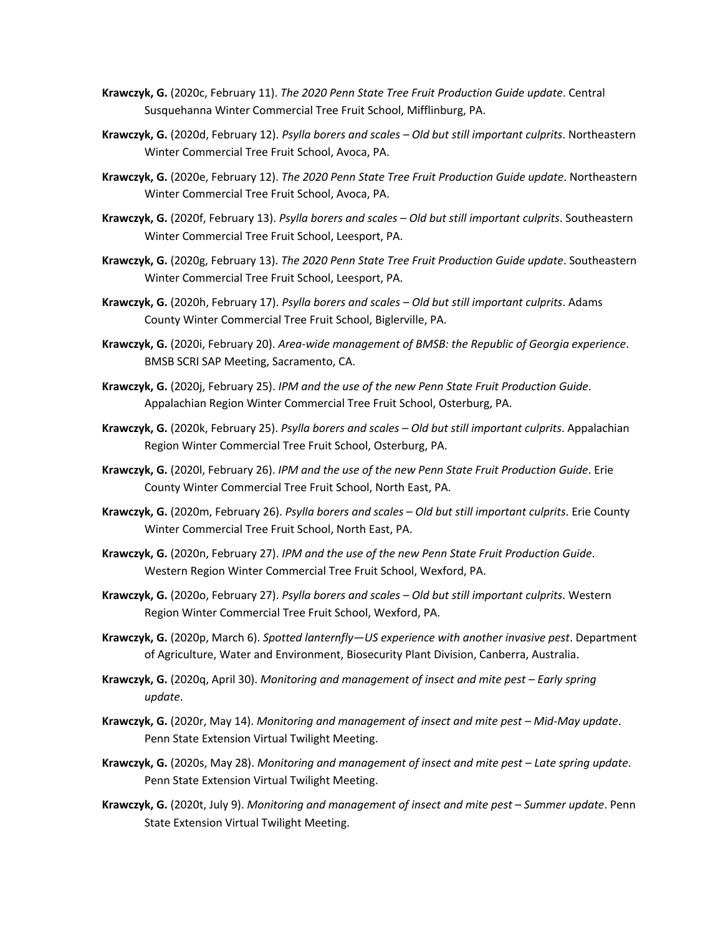- **Krawczyk, G.** (2020c, February 11). *The 2020 Penn State Tree Fruit Production Guide update*. Central Susquehanna Winter Commercial Tree Fruit School, Mifflinburg, PA.
- **Krawczyk, G.** (2020d, February 12). *Psylla borers and scales – Old but still important culprits*. Northeastern Winter Commercial Tree Fruit School, Avoca, PA.
- **Krawczyk, G.** (2020e, February 12). *The 2020 Penn State Tree Fruit Production Guide update*. Northeastern Winter Commercial Tree Fruit School, Avoca, PA.
- **Krawczyk, G.** (2020f, February 13). *Psylla borers and scales – Old but still important culprits*. Southeastern Winter Commercial Tree Fruit School, Leesport, PA.
- **Krawczyk, G.** (2020g, February 13). *The 2020 Penn State Tree Fruit Production Guide update*. Southeastern Winter Commercial Tree Fruit School, Leesport, PA.
- **Krawczyk, G.** (2020h, February 17). *Psylla borers and scales – Old but still important culprits*. Adams County Winter Commercial Tree Fruit School, Biglerville, PA.
- **Krawczyk, G.** (2020i, February 20). *Area-wide management of BMSB: the Republic of Georgia experience*. BMSB SCRI SAP Meeting, Sacramento, CA.
- **Krawczyk, G.** (2020j, February 25). *IPM and the use of the new Penn State Fruit Production Guide*. Appalachian Region Winter Commercial Tree Fruit School, Osterburg, PA.
- **Krawczyk, G.** (2020k, February 25). *Psylla borers and scales – Old but still important culprits*. Appalachian Region Winter Commercial Tree Fruit School, Osterburg, PA.
- **Krawczyk, G.** (2020l, February 26). *IPM and the use of the new Penn State Fruit Production Guide*. Erie County Winter Commercial Tree Fruit School, North East, PA.
- **Krawczyk, G.** (2020m, February 26). *Psylla borers and scales – Old but still important culprits*. Erie County Winter Commercial Tree Fruit School, North East, PA.
- **Krawczyk, G.** (2020n, February 27). *IPM and the use of the new Penn State Fruit Production Guide*. Western Region Winter Commercial Tree Fruit School, Wexford, PA.
- **Krawczyk, G.** (2020o, February 27). *Psylla borers and scales – Old but still important culprits*. Western Region Winter Commercial Tree Fruit School, Wexford, PA.
- **Krawczyk, G.** (2020p, March 6). *Spotted lanternfly—US experience with another invasive pest*. Department of Agriculture, Water and Environment, Biosecurity Plant Division, Canberra, Australia.
- **Krawczyk, G.** (2020q, April 30). *Monitoring and management of insect and mite pest – Early spring update*.
- **Krawczyk, G.** (2020r, May 14). *Monitoring and management of insect and mite pest – Mid-May update*. Penn State Extension Virtual Twilight Meeting.
- **Krawczyk, G.** (2020s, May 28). *Monitoring and management of insect and mite pest – Late spring update*. Penn State Extension Virtual Twilight Meeting.
- **Krawczyk, G.** (2020t, July 9). *Monitoring and management of insect and mite pest – Summer update*. Penn State Extension Virtual Twilight Meeting.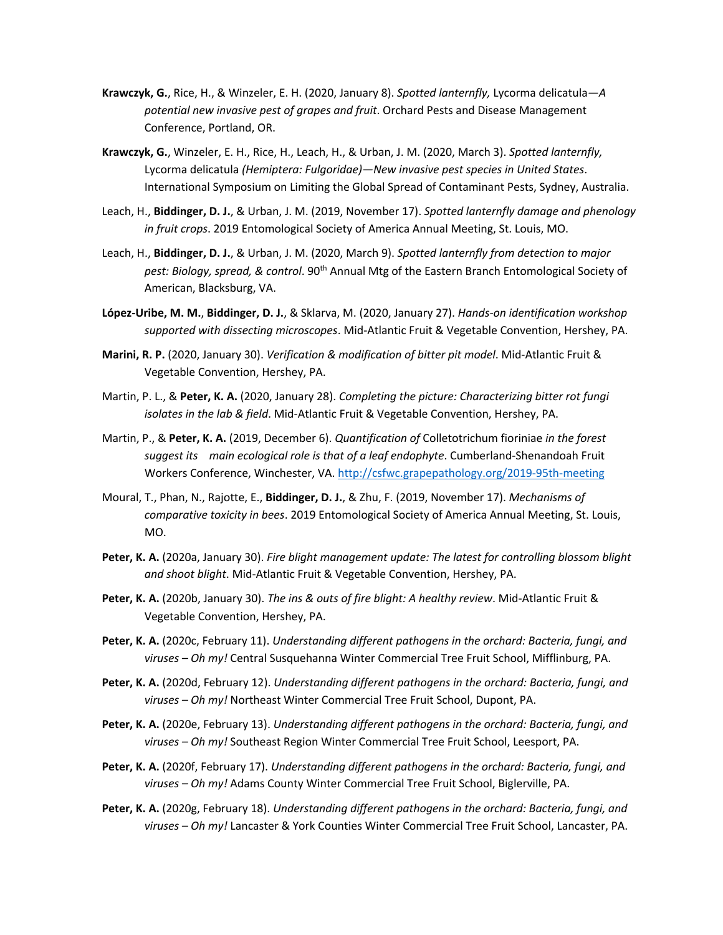- **Krawczyk, G.**, Rice, H., & Winzeler, E. H. (2020, January 8). *Spotted lanternfly,* Lycorma delicatula*—A potential new invasive pest of grapes and fruit*. Orchard Pests and Disease Management Conference, Portland, OR.
- **Krawczyk, G.**, Winzeler, E. H., Rice, H., Leach, H., & Urban, J. M. (2020, March 3). *Spotted lanternfly,*  Lycorma delicatula *(Hemiptera: Fulgoridae)—New invasive pest species in United States*. International Symposium on Limiting the Global Spread of Contaminant Pests, Sydney, Australia.
- Leach, H., **Biddinger, D. J.**, & Urban, J. M. (2019, November 17). *Spotted lanternfly damage and phenology in fruit crops*. 2019 Entomological Society of America Annual Meeting, St. Louis, MO.
- Leach, H., **Biddinger, D. J.**, & Urban, J. M. (2020, March 9). *Spotted lanternfly from detection to major pest: Biology, spread, & control*. 90th Annual Mtg of the Eastern Branch Entomological Society of American, Blacksburg, VA.
- **López-Uribe, M. M.**, **Biddinger, D. J.**, & Sklarva, M. (2020, January 27). *Hands-on identification workshop supported with dissecting microscopes*. Mid-Atlantic Fruit & Vegetable Convention, Hershey, PA.
- **Marini, R. P.** (2020, January 30). *Verification & modification of bitter pit model*. Mid-Atlantic Fruit & Vegetable Convention, Hershey, PA.
- Martin, P. L., & **Peter, K. A.** (2020, January 28). *Completing the picture: Characterizing bitter rot fungi isolates in the lab & field*. Mid-Atlantic Fruit & Vegetable Convention, Hershey, PA.
- Martin, P., & **Peter, K. A.** (2019, December 6). *Quantification of* Colletotrichum fioriniae *in the forest suggest its main ecological role is that of a leaf endophyte*. Cumberland-Shenandoah Fruit Workers Conference, Winchester, VA. http://csfwc.grapepathology.org/2019-95th-meeting
- Moural, T., Phan, N., Rajotte, E., **Biddinger, D. J.**, & Zhu, F. (2019, November 17). *Mechanisms of comparative toxicity in bees*. 2019 Entomological Society of America Annual Meeting, St. Louis, MO.
- **Peter, K. A.** (2020a, January 30). *Fire blight management update: The latest for controlling blossom blight and shoot blight*. Mid-Atlantic Fruit & Vegetable Convention, Hershey, PA.
- **Peter, K. A.** (2020b, January 30). *The ins & outs of fire blight: A healthy review*. Mid-Atlantic Fruit & Vegetable Convention, Hershey, PA.
- **Peter, K. A.** (2020c, February 11). *Understanding different pathogens in the orchard: Bacteria, fungi, and viruses – Oh my!* Central Susquehanna Winter Commercial Tree Fruit School, Mifflinburg, PA.
- **Peter, K. A.** (2020d, February 12). *Understanding different pathogens in the orchard: Bacteria, fungi, and viruses – Oh my!* Northeast Winter Commercial Tree Fruit School, Dupont, PA.
- **Peter, K. A.** (2020e, February 13). *Understanding different pathogens in the orchard: Bacteria, fungi, and viruses – Oh my!* Southeast Region Winter Commercial Tree Fruit School, Leesport, PA.
- **Peter, K. A.** (2020f, February 17). *Understanding different pathogens in the orchard: Bacteria, fungi, and viruses – Oh my!* Adams County Winter Commercial Tree Fruit School, Biglerville, PA.
- **Peter, K. A.** (2020g, February 18). *Understanding different pathogens in the orchard: Bacteria, fungi, and viruses – Oh my!* Lancaster & York Counties Winter Commercial Tree Fruit School, Lancaster, PA.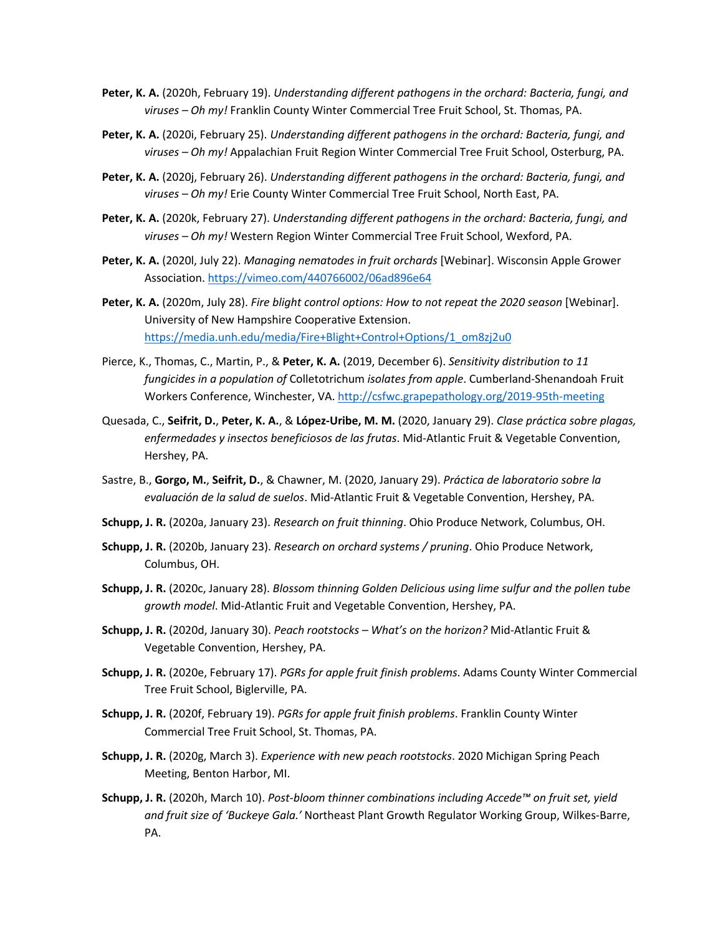- **Peter, K. A.** (2020h, February 19). *Understanding different pathogens in the orchard: Bacteria, fungi, and viruses – Oh my!* Franklin County Winter Commercial Tree Fruit School, St. Thomas, PA.
- **Peter, K. A.** (2020i, February 25). *Understanding different pathogens in the orchard: Bacteria, fungi, and viruses – Oh my!* Appalachian Fruit Region Winter Commercial Tree Fruit School, Osterburg, PA.
- **Peter, K. A.** (2020j, February 26). *Understanding different pathogens in the orchard: Bacteria, fungi, and viruses – Oh my!* Erie County Winter Commercial Tree Fruit School, North East, PA.
- **Peter, K. A.** (2020k, February 27). *Understanding different pathogens in the orchard: Bacteria, fungi, and viruses – Oh my!* Western Region Winter Commercial Tree Fruit School, Wexford, PA.
- **Peter, K. A.** (2020l, July 22). *Managing nematodes in fruit orchards* [Webinar]. Wisconsin Apple Grower Association. https://vimeo.com/440766002/06ad896e64
- **Peter, K. A.** (2020m, July 28). *Fire blight control options: How to not repeat the 2020 season* [Webinar]. University of New Hampshire Cooperative Extension. https://media.unh.edu/media/Fire+Blight+Control+Options/1\_om8zj2u0
- Pierce, K., Thomas, C., Martin, P., & **Peter, K. A.** (2019, December 6). *Sensitivity distribution to 11 fungicides in a population of* Colletotrichum *isolates from apple*. Cumberland-Shenandoah Fruit Workers Conference, Winchester, VA. http://csfwc.grapepathology.org/2019-95th-meeting
- Quesada, C., **Seifrit, D.**, **Peter, K. A.**, & **López-Uribe, M. M.** (2020, January 29). *Clase práctica sobre plagas, enfermedades y insectos beneficiosos de las frutas*. Mid-Atlantic Fruit & Vegetable Convention, Hershey, PA.
- Sastre, B., **Gorgo, M.**, **Seifrit, D.**, & Chawner, M. (2020, January 29). *Práctica de laboratorio sobre la evaluación de la salud de suelos*. Mid-Atlantic Fruit & Vegetable Convention, Hershey, PA.
- **Schupp, J. R.** (2020a, January 23). *Research on fruit thinning*. Ohio Produce Network, Columbus, OH.
- **Schupp, J. R.** (2020b, January 23). *Research on orchard systems / pruning*. Ohio Produce Network, Columbus, OH.
- **Schupp, J. R.** (2020c, January 28). *Blossom thinning Golden Delicious using lime sulfur and the pollen tube growth model*. Mid-Atlantic Fruit and Vegetable Convention, Hershey, PA.
- **Schupp, J. R.** (2020d, January 30). *Peach rootstocks – What's on the horizon?* Mid-Atlantic Fruit & Vegetable Convention, Hershey, PA.
- **Schupp, J. R.** (2020e, February 17). *PGRs for apple fruit finish problems*. Adams County Winter Commercial Tree Fruit School, Biglerville, PA.
- **Schupp, J. R.** (2020f, February 19). *PGRs for apple fruit finish problems*. Franklin County Winter Commercial Tree Fruit School, St. Thomas, PA.
- **Schupp, J. R.** (2020g, March 3). *Experience with new peach rootstocks*. 2020 Michigan Spring Peach Meeting, Benton Harbor, MI.
- **Schupp, J. R.** (2020h, March 10). *Post-bloom thinner combinations including Accede™ on fruit set, yield and fruit size of 'Buckeye Gala.'* Northeast Plant Growth Regulator Working Group, Wilkes-Barre, PA.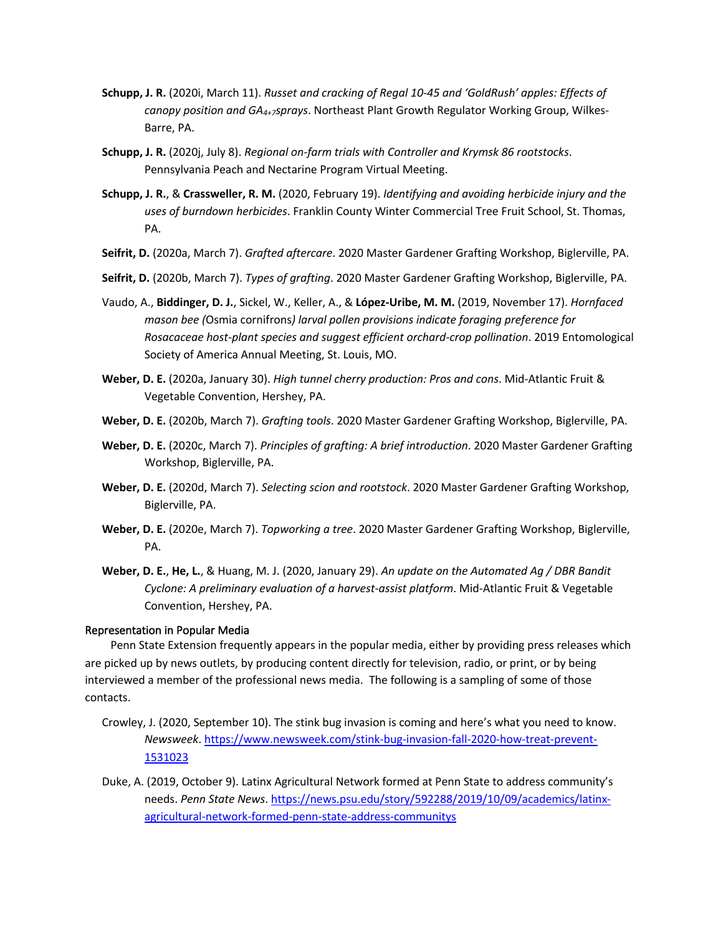- **Schupp, J. R.** (2020i, March 11). *Russet and cracking of Regal 10-45 and 'GoldRush' apples: Effects of canopy position and GA4+7sprays*. Northeast Plant Growth Regulator Working Group, Wilkes-Barre, PA.
- **Schupp, J. R.** (2020j, July 8). *Regional on-farm trials with Controller and Krymsk 86 rootstocks*. Pennsylvania Peach and Nectarine Program Virtual Meeting.
- **Schupp, J. R.**, & **Crassweller, R. M.** (2020, February 19). *Identifying and avoiding herbicide injury and the uses of burndown herbicides*. Franklin County Winter Commercial Tree Fruit School, St. Thomas, PA.
- **Seifrit, D.** (2020a, March 7). *Grafted aftercare*. 2020 Master Gardener Grafting Workshop, Biglerville, PA.
- **Seifrit, D.** (2020b, March 7). *Types of grafting*. 2020 Master Gardener Grafting Workshop, Biglerville, PA.
- Vaudo, A., **Biddinger, D. J.**, Sickel, W., Keller, A., & **López-Uribe, M. M.** (2019, November 17). *Hornfaced mason bee (*Osmia cornifrons*) larval pollen provisions indicate foraging preference for Rosacaceae host-plant species and suggest efficient orchard-crop pollination*. 2019 Entomological Society of America Annual Meeting, St. Louis, MO.
- **Weber, D. E.** (2020a, January 30). *High tunnel cherry production: Pros and cons*. Mid-Atlantic Fruit & Vegetable Convention, Hershey, PA.
- **Weber, D. E.** (2020b, March 7). *Grafting tools*. 2020 Master Gardener Grafting Workshop, Biglerville, PA.
- **Weber, D. E.** (2020c, March 7). *Principles of grafting: A brief introduction*. 2020 Master Gardener Grafting Workshop, Biglerville, PA.
- **Weber, D. E.** (2020d, March 7). *Selecting scion and rootstock*. 2020 Master Gardener Grafting Workshop, Biglerville, PA.
- **Weber, D. E.** (2020e, March 7). *Topworking a tree*. 2020 Master Gardener Grafting Workshop, Biglerville, PA.
- **Weber, D. E.**, **He, L.**, & Huang, M. J. (2020, January 29). *An update on the Automated Ag / DBR Bandit Cyclone: A preliminary evaluation of a harvest-assist platform*. Mid-Atlantic Fruit & Vegetable Convention, Hershey, PA.

# Representation in Popular Media

Penn State Extension frequently appears in the popular media, either by providing press releases which are picked up by news outlets, by producing content directly for television, radio, or print, or by being interviewed a member of the professional news media. The following is a sampling of some of those contacts.

- Crowley, J. (2020, September 10). The stink bug invasion is coming and here's what you need to know. *Newsweek*. https://www.newsweek.com/stink-bug-invasion-fall-2020-how-treat-prevent-1531023
- Duke, A. (2019, October 9). Latinx Agricultural Network formed at Penn State to address community's needs. *Penn State News*. https://news.psu.edu/story/592288/2019/10/09/academics/latinxagricultural-network-formed-penn-state-address-communitys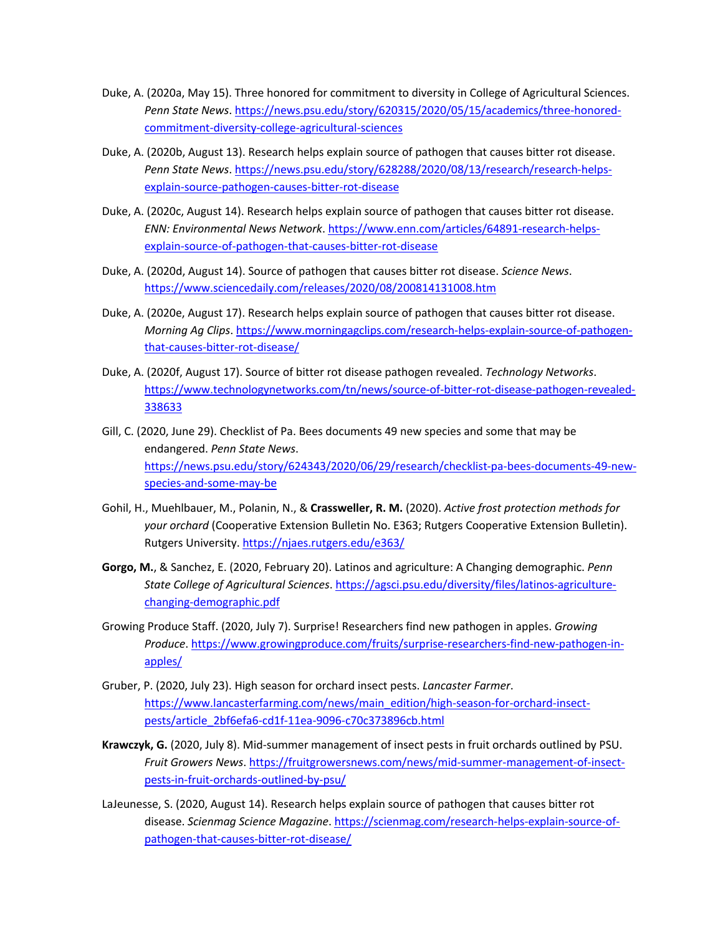- Duke, A. (2020a, May 15). Three honored for commitment to diversity in College of Agricultural Sciences. *Penn State News*. https://news.psu.edu/story/620315/2020/05/15/academics/three-honoredcommitment-diversity-college-agricultural-sciences
- Duke, A. (2020b, August 13). Research helps explain source of pathogen that causes bitter rot disease. *Penn State News*. https://news.psu.edu/story/628288/2020/08/13/research/research-helpsexplain-source-pathogen-causes-bitter-rot-disease
- Duke, A. (2020c, August 14). Research helps explain source of pathogen that causes bitter rot disease. *ENN: Environmental News Network*. https://www.enn.com/articles/64891-research-helpsexplain-source-of-pathogen-that-causes-bitter-rot-disease
- Duke, A. (2020d, August 14). Source of pathogen that causes bitter rot disease. *Science News*. https://www.sciencedaily.com/releases/2020/08/200814131008.htm
- Duke, A. (2020e, August 17). Research helps explain source of pathogen that causes bitter rot disease. *Morning Ag Clips*. https://www.morningagclips.com/research-helps-explain-source-of-pathogenthat-causes-bitter-rot-disease/
- Duke, A. (2020f, August 17). Source of bitter rot disease pathogen revealed. *Technology Networks*. https://www.technologynetworks.com/tn/news/source-of-bitter-rot-disease-pathogen-revealed-338633
- Gill, C. (2020, June 29). Checklist of Pa. Bees documents 49 new species and some that may be endangered. *Penn State News*. https://news.psu.edu/story/624343/2020/06/29/research/checklist-pa-bees-documents-49-newspecies-and-some-may-be
- Gohil, H., Muehlbauer, M., Polanin, N., & **Crassweller, R. M.** (2020). *Active frost protection methods for your orchard* (Cooperative Extension Bulletin No. E363; Rutgers Cooperative Extension Bulletin). Rutgers University. https://njaes.rutgers.edu/e363/
- **Gorgo, M.**, & Sanchez, E. (2020, February 20). Latinos and agriculture: A Changing demographic. *Penn State College of Agricultural Sciences*. https://agsci.psu.edu/diversity/files/latinos-agriculturechanging-demographic.pdf
- Growing Produce Staff. (2020, July 7). Surprise! Researchers find new pathogen in apples. *Growing Produce*. https://www.growingproduce.com/fruits/surprise-researchers-find-new-pathogen-inapples/
- Gruber, P. (2020, July 23). High season for orchard insect pests. *Lancaster Farmer*. https://www.lancasterfarming.com/news/main\_edition/high-season-for-orchard-insectpests/article\_2bf6efa6-cd1f-11ea-9096-c70c373896cb.html
- **Krawczyk, G.** (2020, July 8). Mid-summer management of insect pests in fruit orchards outlined by PSU. *Fruit Growers News*. https://fruitgrowersnews.com/news/mid-summer-management-of-insectpests-in-fruit-orchards-outlined-by-psu/
- LaJeunesse, S. (2020, August 14). Research helps explain source of pathogen that causes bitter rot disease. *Scienmag Science Magazine*. https://scienmag.com/research-helps-explain-source-ofpathogen-that-causes-bitter-rot-disease/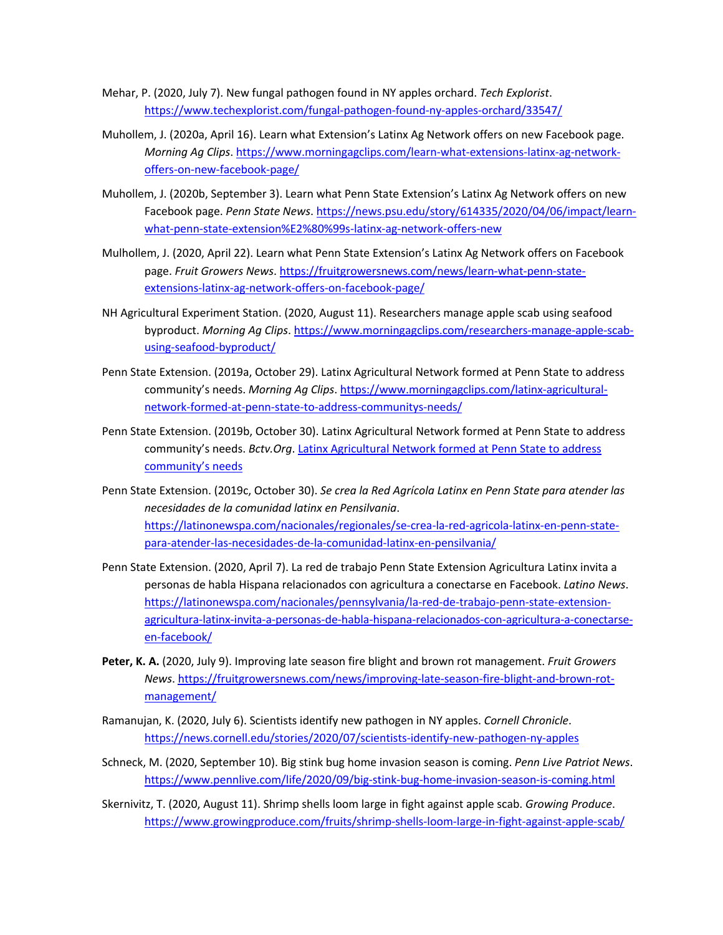- Mehar, P. (2020, July 7). New fungal pathogen found in NY apples orchard. *Tech Explorist*. https://www.techexplorist.com/fungal-pathogen-found-ny-apples-orchard/33547/
- Muhollem, J. (2020a, April 16). Learn what Extension's Latinx Ag Network offers on new Facebook page. *Morning Ag Clips*. https://www.morningagclips.com/learn-what-extensions-latinx-ag-networkoffers-on-new-facebook-page/
- Muhollem, J. (2020b, September 3). Learn what Penn State Extension's Latinx Ag Network offers on new Facebook page. *Penn State News*. https://news.psu.edu/story/614335/2020/04/06/impact/learnwhat-penn-state-extension%E2%80%99s-latinx-ag-network-offers-new
- Mulhollem, J. (2020, April 22). Learn what Penn State Extension's Latinx Ag Network offers on Facebook page. *Fruit Growers News*. https://fruitgrowersnews.com/news/learn-what-penn-stateextensions-latinx-ag-network-offers-on-facebook-page/
- NH Agricultural Experiment Station. (2020, August 11). Researchers manage apple scab using seafood byproduct. *Morning Ag Clips*. https://www.morningagclips.com/researchers-manage-apple-scabusing-seafood-byproduct/
- Penn State Extension. (2019a, October 29). Latinx Agricultural Network formed at Penn State to address community's needs. *Morning Ag Clips*. https://www.morningagclips.com/latinx-agriculturalnetwork-formed-at-penn-state-to-address-communitys-needs/
- Penn State Extension. (2019b, October 30). Latinx Agricultural Network formed at Penn State to address community's needs. *Bctv.Org*. Latinx Agricultural Network formed at Penn State to address community's needs
- Penn State Extension. (2019c, October 30). *Se crea la Red Agrícola Latinx en Penn State para atender las necesidades de la comunidad latinx en Pensilvania*. https://latinonewspa.com/nacionales/regionales/se-crea-la-red-agricola-latinx-en-penn-statepara-atender-las-necesidades-de-la-comunidad-latinx-en-pensilvania/
- Penn State Extension. (2020, April 7). La red de trabajo Penn State Extension Agricultura Latinx invita a personas de habla Hispana relacionados con agricultura a conectarse en Facebook. *Latino News*. https://latinonewspa.com/nacionales/pennsylvania/la-red-de-trabajo-penn-state-extensionagricultura-latinx-invita-a-personas-de-habla-hispana-relacionados-con-agricultura-a-conectarseen-facebook/
- **Peter, K. A.** (2020, July 9). Improving late season fire blight and brown rot management. *Fruit Growers News*. https://fruitgrowersnews.com/news/improving-late-season-fire-blight-and-brown-rotmanagement/
- Ramanujan, K. (2020, July 6). Scientists identify new pathogen in NY apples. *Cornell Chronicle*. https://news.cornell.edu/stories/2020/07/scientists-identify-new-pathogen-ny-apples
- Schneck, M. (2020, September 10). Big stink bug home invasion season is coming. *Penn Live Patriot News*. https://www.pennlive.com/life/2020/09/big-stink-bug-home-invasion-season-is-coming.html
- Skernivitz, T. (2020, August 11). Shrimp shells loom large in fight against apple scab. *Growing Produce*. https://www.growingproduce.com/fruits/shrimp-shells-loom-large-in-fight-against-apple-scab/